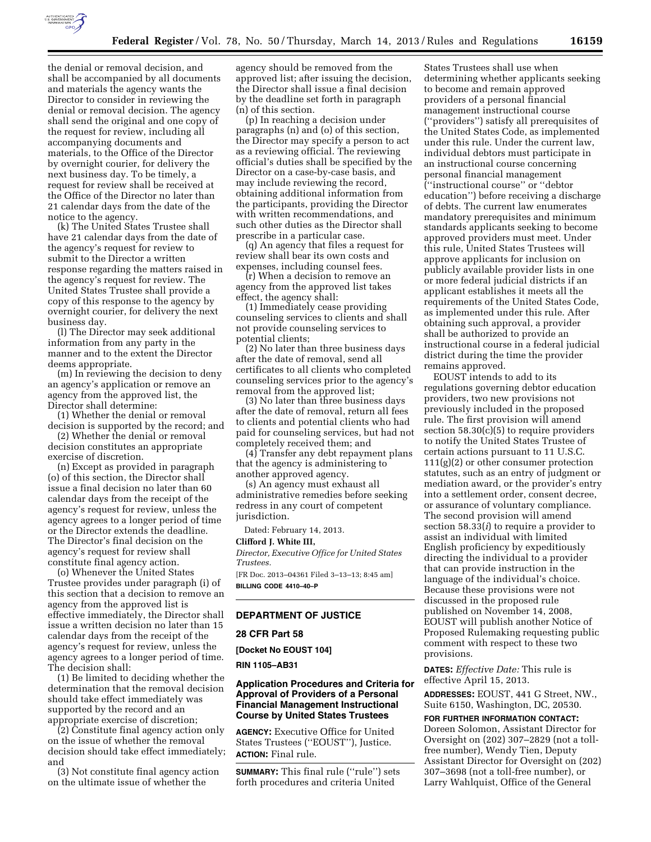

the denial or removal decision, and shall be accompanied by all documents and materials the agency wants the Director to consider in reviewing the denial or removal decision. The agency shall send the original and one copy of the request for review, including all accompanying documents and materials, to the Office of the Director by overnight courier, for delivery the next business day. To be timely, a request for review shall be received at the Office of the Director no later than 21 calendar days from the date of the notice to the agency.

(k) The United States Trustee shall have 21 calendar days from the date of the agency's request for review to submit to the Director a written response regarding the matters raised in the agency's request for review. The United States Trustee shall provide a copy of this response to the agency by overnight courier, for delivery the next business day.

(l) The Director may seek additional information from any party in the manner and to the extent the Director deems appropriate.

(m) In reviewing the decision to deny an agency's application or remove an agency from the approved list, the Director shall determine:

(1) Whether the denial or removal decision is supported by the record; and

(2) Whether the denial or removal decision constitutes an appropriate exercise of discretion.

(n) Except as provided in paragraph (o) of this section, the Director shall issue a final decision no later than 60 calendar days from the receipt of the agency's request for review, unless the agency agrees to a longer period of time or the Director extends the deadline. The Director's final decision on the agency's request for review shall constitute final agency action.

(o) Whenever the United States Trustee provides under paragraph (i) of this section that a decision to remove an agency from the approved list is effective immediately, the Director shall issue a written decision no later than 15 calendar days from the receipt of the agency's request for review, unless the agency agrees to a longer period of time. The decision shall:

(1) Be limited to deciding whether the determination that the removal decision should take effect immediately was supported by the record and an appropriate exercise of discretion;

(2) Constitute final agency action only on the issue of whether the removal decision should take effect immediately; and

(3) Not constitute final agency action on the ultimate issue of whether the

agency should be removed from the approved list; after issuing the decision, the Director shall issue a final decision by the deadline set forth in paragraph (n) of this section.

(p) In reaching a decision under paragraphs (n) and (o) of this section, the Director may specify a person to act as a reviewing official. The reviewing official's duties shall be specified by the Director on a case-by-case basis, and may include reviewing the record, obtaining additional information from the participants, providing the Director with written recommendations, and such other duties as the Director shall prescribe in a particular case.

(q) An agency that files a request for review shall bear its own costs and expenses, including counsel fees.

(r) When a decision to remove an agency from the approved list takes effect, the agency shall:

(1) Immediately cease providing counseling services to clients and shall not provide counseling services to potential clients;

(2) No later than three business days after the date of removal, send all certificates to all clients who completed counseling services prior to the agency's removal from the approved list;

(3) No later than three business days after the date of removal, return all fees to clients and potential clients who had paid for counseling services, but had not completely received them; and

(4) Transfer any debt repayment plans that the agency is administering to another approved agency.

(s) An agency must exhaust all administrative remedies before seeking redress in any court of competent jurisdiction.

Dated: February 14, 2013.

## **Clifford J. White III,**

*Director, Executive Office for United States Trustees.* 

[FR Doc. 2013–04361 Filed 3–13–13; 8:45 am] **BILLING CODE 4410–40–P** 

# **DEPARTMENT OF JUSTICE**

## **28 CFR Part 58**

**[Docket No EOUST 104]** 

**RIN 1105–AB31** 

# **Application Procedures and Criteria for Approval of Providers of a Personal Financial Management Instructional Course by United States Trustees**

**AGENCY:** Executive Office for United States Trustees (''EOUST''), Justice. **ACTION:** Final rule.

**SUMMARY:** This final rule (''rule'') sets forth procedures and criteria United

States Trustees shall use when determining whether applicants seeking to become and remain approved providers of a personal financial management instructional course (''providers'') satisfy all prerequisites of the United States Code, as implemented under this rule. Under the current law, individual debtors must participate in an instructional course concerning personal financial management (''instructional course'' or ''debtor education'') before receiving a discharge of debts. The current law enumerates mandatory prerequisites and minimum standards applicants seeking to become approved providers must meet. Under this rule, United States Trustees will approve applicants for inclusion on publicly available provider lists in one or more federal judicial districts if an applicant establishes it meets all the requirements of the United States Code, as implemented under this rule. After obtaining such approval, a provider shall be authorized to provide an instructional course in a federal judicial district during the time the provider remains approved.

EOUST intends to add to its regulations governing debtor education providers, two new provisions not previously included in the proposed rule. The first provision will amend section  $58.30(c)(5)$  to require providers to notify the United States Trustee of certain actions pursuant to 11 U.S.C. 111(g)(2) or other consumer protection statutes, such as an entry of judgment or mediation award, or the provider's entry into a settlement order, consent decree, or assurance of voluntary compliance. The second provision will amend section 58.33(*i*) to require a provider to assist an individual with limited English proficiency by expeditiously directing the individual to a provider that can provide instruction in the language of the individual's choice. Because these provisions were not discussed in the proposed rule published on November 14, 2008, EOUST will publish another Notice of Proposed Rulemaking requesting public comment with respect to these two provisions.

**DATES:** *Effective Date:* This rule is effective April 15, 2013.

**ADDRESSES:** EOUST, 441 G Street, NW., Suite 6150, Washington, DC, 20530.

### **FOR FURTHER INFORMATION CONTACT:**

Doreen Solomon, Assistant Director for Oversight on (202) 307–2829 (not a tollfree number), Wendy Tien, Deputy Assistant Director for Oversight on (202) 307–3698 (not a toll-free number), or Larry Wahlquist, Office of the General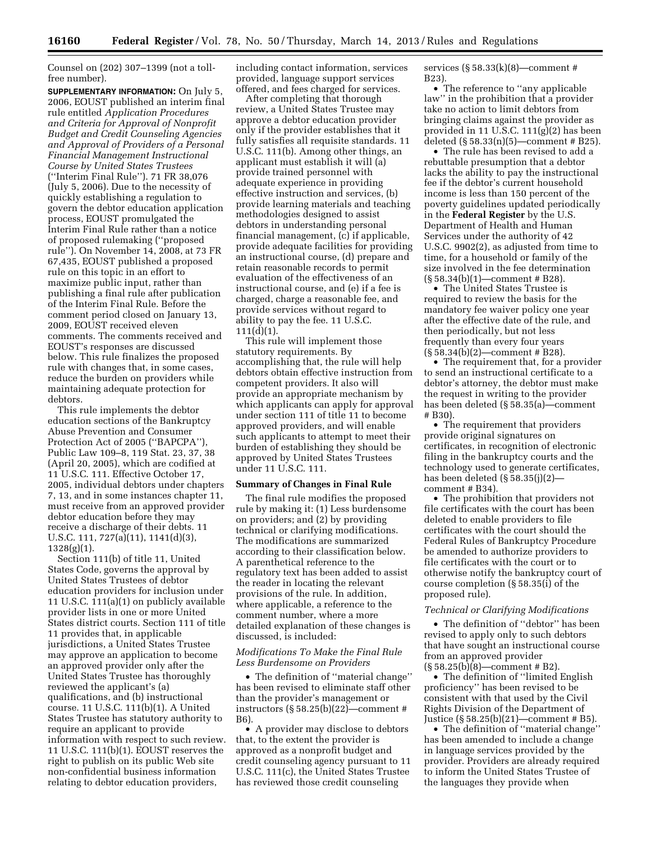Counsel on (202) 307–1399 (not a tollfree number).

**SUPPLEMENTARY INFORMATION:** On July 5, 2006, EOUST published an interim final rule entitled *Application Procedures and Criteria for Approval of Nonprofit Budget and Credit Counseling Agencies and Approval of Providers of a Personal Financial Management Instructional Course by United States Trustees*  (''Interim Final Rule''). 71 FR 38,076 (July 5, 2006). Due to the necessity of quickly establishing a regulation to govern the debtor education application process, EOUST promulgated the Interim Final Rule rather than a notice of proposed rulemaking (''proposed rule''). On November 14, 2008, at 73 FR 67,435, EOUST published a proposed rule on this topic in an effort to maximize public input, rather than publishing a final rule after publication of the Interim Final Rule. Before the comment period closed on January 13, 2009, EOUST received eleven comments. The comments received and EOUST's responses are discussed below. This rule finalizes the proposed rule with changes that, in some cases, reduce the burden on providers while maintaining adequate protection for debtors.

This rule implements the debtor education sections of the Bankruptcy Abuse Prevention and Consumer Protection Act of 2005 (''BAPCPA''), Public Law 109–8, 119 Stat. 23, 37, 38 (April 20, 2005), which are codified at 11 U.S.C. 111. Effective October 17, 2005, individual debtors under chapters 7, 13, and in some instances chapter 11, must receive from an approved provider debtor education before they may receive a discharge of their debts. 11 U.S.C. 111, 727(a)(11), 1141(d)(3),  $1328(g)(1)$ .

Section 111(b) of title 11, United States Code, governs the approval by United States Trustees of debtor education providers for inclusion under 11 U.S.C. 111(a)(1) on publicly available provider lists in one or more United States district courts. Section 111 of title 11 provides that, in applicable jurisdictions, a United States Trustee may approve an application to become an approved provider only after the United States Trustee has thoroughly reviewed the applicant's (a) qualifications, and (b) instructional course. 11 U.S.C. 111(b)(1). A United States Trustee has statutory authority to require an applicant to provide information with respect to such review. 11 U.S.C. 111(b)(1). EOUST reserves the right to publish on its public Web site non-confidential business information relating to debtor education providers,

including contact information, services provided, language support services offered, and fees charged for services.

After completing that thorough review, a United States Trustee may approve a debtor education provider only if the provider establishes that it fully satisfies all requisite standards. 11 U.S.C. 111(b). Among other things, an applicant must establish it will (a) provide trained personnel with adequate experience in providing effective instruction and services, (b) provide learning materials and teaching methodologies designed to assist debtors in understanding personal financial management, (c) if applicable, provide adequate facilities for providing an instructional course, (d) prepare and retain reasonable records to permit evaluation of the effectiveness of an instructional course, and (e) if a fee is charged, charge a reasonable fee, and provide services without regard to ability to pay the fee. 11 U.S.C. 111(d)(1).

This rule will implement those statutory requirements. By accomplishing that, the rule will help debtors obtain effective instruction from competent providers. It also will provide an appropriate mechanism by which applicants can apply for approval under section 111 of title 11 to become approved providers, and will enable such applicants to attempt to meet their burden of establishing they should be approved by United States Trustees under 11 U.S.C. 111.

# **Summary of Changes in Final Rule**

The final rule modifies the proposed rule by making it: (1) Less burdensome on providers; and (2) by providing technical or clarifying modifications. The modifications are summarized according to their classification below. A parenthetical reference to the regulatory text has been added to assist the reader in locating the relevant provisions of the rule. In addition, where applicable, a reference to the comment number, where a more detailed explanation of these changes is discussed, is included:

## *Modifications To Make the Final Rule Less Burdensome on Providers*

• The definition of ''material change'' has been revised to eliminate staff other than the provider's management or instructors (§ 58.25(b)(22)—comment # B6).

• A provider may disclose to debtors that, to the extent the provider is approved as a nonprofit budget and credit counseling agency pursuant to 11 U.S.C. 111(c), the United States Trustee has reviewed those credit counseling

services (§ 58.33(k)(8)—comment # B23).

• The reference to ''any applicable law'' in the prohibition that a provider take no action to limit debtors from bringing claims against the provider as provided in 11 U.S.C. 111(g)(2) has been deleted  $(\S 58.33(n)(5)$ —comment # B25).

• The rule has been revised to add a rebuttable presumption that a debtor lacks the ability to pay the instructional fee if the debtor's current household income is less than 150 percent of the poverty guidelines updated periodically in the **Federal Register** by the U.S. Department of Health and Human Services under the authority of 42 U.S.C. 9902(2), as adjusted from time to time, for a household or family of the size involved in the fee determination (§ 58.34(b)(1)—comment # B28).

• The United States Trustee is required to review the basis for the mandatory fee waiver policy one year after the effective date of the rule, and then periodically, but not less frequently than every four years  $(\S 58.34(b)(2)$ —comment # B28).

• The requirement that, for a provider to send an instructional certificate to a debtor's attorney, the debtor must make the request in writing to the provider has been deleted (§ 58.35(a)—comment # B30).

• The requirement that providers provide original signatures on certificates, in recognition of electronic filing in the bankruptcy courts and the technology used to generate certificates, has been deleted (§ 58.35(j)(2) comment # B34).

• The prohibition that providers not file certificates with the court has been deleted to enable providers to file certificates with the court should the Federal Rules of Bankruptcy Procedure be amended to authorize providers to file certificates with the court or to otherwise notify the bankruptcy court of course completion (§ 58.35(i) of the proposed rule).

### *Technical or Clarifying Modifications*

• The definition of ''debtor'' has been revised to apply only to such debtors that have sought an instructional course from an approved provider  $(\S 58.25(b)(8)$ —comment # B2).

• The definition of "limited English" proficiency'' has been revised to be consistent with that used by the Civil Rights Division of the Department of Justice (§ 58.25(b)(21)—comment # B5).

• The definition of ''material change'' has been amended to include a change in language services provided by the provider. Providers are already required to inform the United States Trustee of the languages they provide when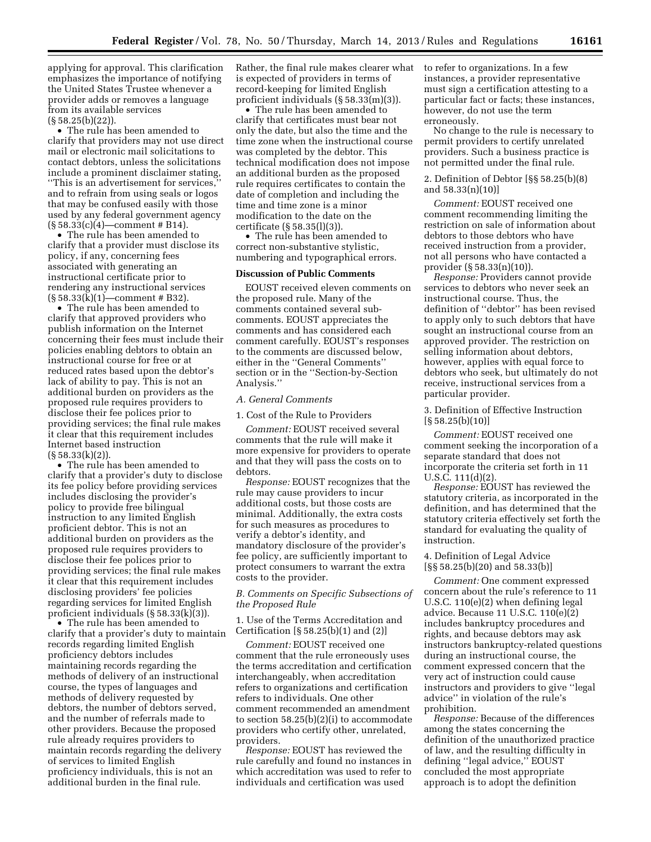applying for approval. This clarification emphasizes the importance of notifying the United States Trustee whenever a provider adds or removes a language from its available services (§ 58.25(b)(22)).

• The rule has been amended to clarify that providers may not use direct mail or electronic mail solicitations to contact debtors, unless the solicitations include a prominent disclaimer stating, ''This is an advertisement for services,'' and to refrain from using seals or logos that may be confused easily with those used by any federal government agency  $(S 58.33(c)(4)$ —comment # B14).

• The rule has been amended to clarify that a provider must disclose its policy, if any, concerning fees associated with generating an instructional certificate prior to rendering any instructional services (§ 58.33(k)(1)—comment # B32).

• The rule has been amended to clarify that approved providers who publish information on the Internet concerning their fees must include their policies enabling debtors to obtain an instructional course for free or at reduced rates based upon the debtor's lack of ability to pay. This is not an additional burden on providers as the proposed rule requires providers to disclose their fee polices prior to providing services; the final rule makes it clear that this requirement includes Internet based instruction  $(S58.33(k)(2)).$ 

• The rule has been amended to clarify that a provider's duty to disclose its fee policy before providing services includes disclosing the provider's policy to provide free bilingual instruction to any limited English proficient debtor. This is not an additional burden on providers as the proposed rule requires providers to disclose their fee polices prior to providing services; the final rule makes it clear that this requirement includes disclosing providers' fee policies regarding services for limited English proficient individuals (§ 58.33(k)(3)).

• The rule has been amended to clarify that a provider's duty to maintain records regarding limited English proficiency debtors includes maintaining records regarding the methods of delivery of an instructional course, the types of languages and methods of delivery requested by debtors, the number of debtors served, and the number of referrals made to other providers. Because the proposed rule already requires providers to maintain records regarding the delivery of services to limited English proficiency individuals, this is not an additional burden in the final rule.

Rather, the final rule makes clearer what is expected of providers in terms of record-keeping for limited English proficient individuals (§ 58.33(m)(3)).

• The rule has been amended to clarify that certificates must bear not only the date, but also the time and the time zone when the instructional course was completed by the debtor. This technical modification does not impose an additional burden as the proposed rule requires certificates to contain the date of completion and including the time and time zone is a minor modification to the date on the certificate (§ 58.35(l)(3)).

• The rule has been amended to correct non-substantive stylistic, numbering and typographical errors.

# **Discussion of Public Comments**

EOUST received eleven comments on the proposed rule. Many of the comments contained several subcomments. EOUST appreciates the comments and has considered each comment carefully. EOUST's responses to the comments are discussed below, either in the ''General Comments'' section or in the ''Section-by-Section Analysis.''

### *A. General Comments*

1. Cost of the Rule to Providers

*Comment:* EOUST received several comments that the rule will make it more expensive for providers to operate and that they will pass the costs on to debtors.

*Response:* EOUST recognizes that the rule may cause providers to incur additional costs, but those costs are minimal. Additionally, the extra costs for such measures as procedures to verify a debtor's identity, and mandatory disclosure of the provider's fee policy, are sufficiently important to protect consumers to warrant the extra costs to the provider.

# *B. Comments on Specific Subsections of the Proposed Rule*

1. Use of the Terms Accreditation and Certification [§ 58.25(b)(1) and (2)]

*Comment:* EOUST received one comment that the rule erroneously uses the terms accreditation and certification interchangeably, when accreditation refers to organizations and certification refers to individuals. One other comment recommended an amendment to section 58.25(b)(2)(i) to accommodate providers who certify other, unrelated, providers.

*Response:* EOUST has reviewed the rule carefully and found no instances in which accreditation was used to refer to individuals and certification was used

to refer to organizations. In a few instances, a provider representative must sign a certification attesting to a particular fact or facts; these instances, however, do not use the term erroneously.

No change to the rule is necessary to permit providers to certify unrelated providers. Such a business practice is not permitted under the final rule.

2. Definition of Debtor [§§ 58.25(b)(8) and 58.33(n)(10)]

*Comment:* EOUST received one comment recommending limiting the restriction on sale of information about debtors to those debtors who have received instruction from a provider, not all persons who have contacted a provider (§ 58.33(n)(10)).

*Response:* Providers cannot provide services to debtors who never seek an instructional course. Thus, the definition of ''debtor'' has been revised to apply only to such debtors that have sought an instructional course from an approved provider. The restriction on selling information about debtors, however, applies with equal force to debtors who seek, but ultimately do not receive, instructional services from a particular provider.

3. Definition of Effective Instruction  $[\S 58.25(b)(10)]$ 

*Comment:* EOUST received one comment seeking the incorporation of a separate standard that does not incorporate the criteria set forth in 11  $U.S.C. 111(d)(2)$ 

*Response:* EOUST has reviewed the statutory criteria, as incorporated in the definition, and has determined that the statutory criteria effectively set forth the standard for evaluating the quality of instruction.

# 4. Definition of Legal Advice [§§ 58.25(b)(20) and 58.33(b)]

*Comment:* One comment expressed concern about the rule's reference to 11 U.S.C. 110(e)(2) when defining legal advice. Because 11 U.S.C. 110(e)(2) includes bankruptcy procedures and rights, and because debtors may ask instructors bankruptcy-related questions during an instructional course, the comment expressed concern that the very act of instruction could cause instructors and providers to give ''legal advice'' in violation of the rule's prohibition.

*Response:* Because of the differences among the states concerning the definition of the unauthorized practice of law, and the resulting difficulty in defining ''legal advice,'' EOUST concluded the most appropriate approach is to adopt the definition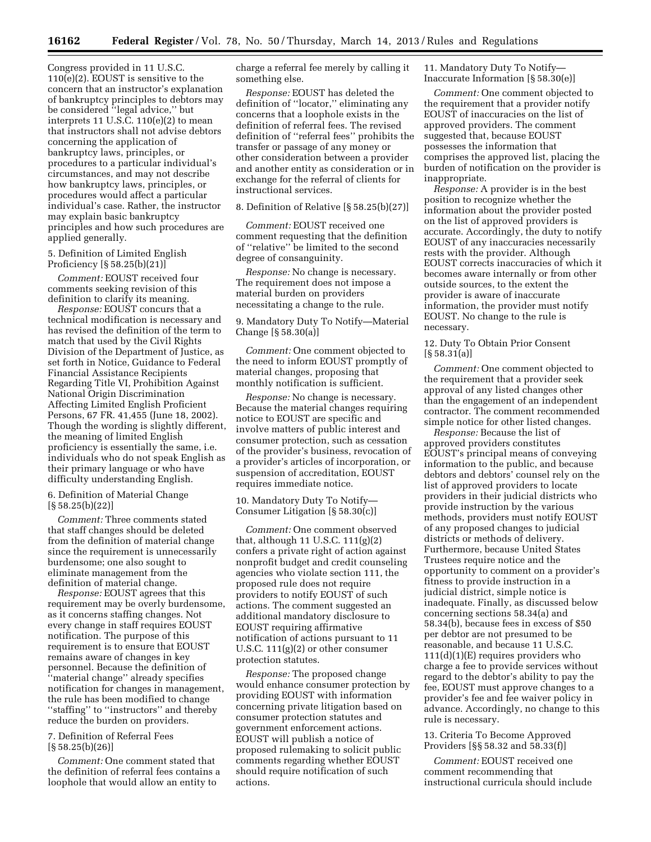Congress provided in 11 U.S.C. 110(e)(2). EOUST is sensitive to the concern that an instructor's explanation of bankruptcy principles to debtors may be considered ''legal advice,'' but interprets 11 U.S.C. 110(e)(2) to mean that instructors shall not advise debtors concerning the application of bankruptcy laws, principles, or procedures to a particular individual's circumstances, and may not describe how bankruptcy laws, principles, or procedures would affect a particular individual's case. Rather, the instructor may explain basic bankruptcy principles and how such procedures are applied generally.

5. Definition of Limited English Proficiency [§ 58.25(b)(21)]

*Comment:* EOUST received four comments seeking revision of this definition to clarify its meaning.

*Response:* EOUST concurs that a technical modification is necessary and has revised the definition of the term to match that used by the Civil Rights Division of the Department of Justice, as set forth in Notice, Guidance to Federal Financial Assistance Recipients Regarding Title VI, Prohibition Against National Origin Discrimination Affecting Limited English Proficient Persons, 67 FR. 41,455 (June 18, 2002). Though the wording is slightly different, the meaning of limited English proficiency is essentially the same, i.e. individuals who do not speak English as their primary language or who have difficulty understanding English.

6. Definition of Material Change  $[\S 58.25(b)(22)]$ 

*Comment:* Three comments stated that staff changes should be deleted from the definition of material change since the requirement is unnecessarily burdensome; one also sought to eliminate management from the definition of material change.

*Response:* EOUST agrees that this requirement may be overly burdensome, as it concerns staffing changes. Not every change in staff requires EOUST notification. The purpose of this requirement is to ensure that EOUST remains aware of changes in key personnel. Because the definition of ''material change'' already specifies notification for changes in management, the rule has been modified to change ''staffing'' to ''instructors'' and thereby reduce the burden on providers.

# 7. Definition of Referral Fees  $[\S 58.25(b)(26)]$

*Comment:* One comment stated that the definition of referral fees contains a loophole that would allow an entity to

charge a referral fee merely by calling it something else.

*Response:* EOUST has deleted the definition of ''locator,'' eliminating any concerns that a loophole exists in the definition of referral fees. The revised definition of ''referral fees'' prohibits the transfer or passage of any money or other consideration between a provider and another entity as consideration or in exchange for the referral of clients for instructional services.

8. Definition of Relative [§ 58.25(b)(27)]

*Comment:* EOUST received one comment requesting that the definition of ''relative'' be limited to the second degree of consanguinity.

*Response:* No change is necessary. The requirement does not impose a material burden on providers necessitating a change to the rule.

9. Mandatory Duty To Notify—Material Change [§ 58.30(a)]

*Comment:* One comment objected to the need to inform EOUST promptly of material changes, proposing that monthly notification is sufficient.

*Response:* No change is necessary. Because the material changes requiring notice to EOUST are specific and involve matters of public interest and consumer protection, such as cessation of the provider's business, revocation of a provider's articles of incorporation, or suspension of accreditation, EOUST requires immediate notice.

10. Mandatory Duty To Notify— Consumer Litigation [§ 58.30(c)]

*Comment:* One comment observed that, although 11 U.S.C. 111(g)(2) confers a private right of action against nonprofit budget and credit counseling agencies who violate section 111, the proposed rule does not require providers to notify EOUST of such actions. The comment suggested an additional mandatory disclosure to EOUST requiring affirmative notification of actions pursuant to 11 U.S.C. 111(g)(2) or other consumer protection statutes.

*Response:* The proposed change would enhance consumer protection by providing EOUST with information concerning private litigation based on consumer protection statutes and government enforcement actions. EOUST will publish a notice of proposed rulemaking to solicit public comments regarding whether EOUST should require notification of such actions.

11. Mandatory Duty To Notify— Inaccurate Information [§ 58.30(e)]

*Comment:* One comment objected to the requirement that a provider notify EOUST of inaccuracies on the list of approved providers. The comment suggested that, because EOUST possesses the information that comprises the approved list, placing the burden of notification on the provider is inappropriate.

*Response:* A provider is in the best position to recognize whether the information about the provider posted on the list of approved providers is accurate. Accordingly, the duty to notify EOUST of any inaccuracies necessarily rests with the provider. Although EOUST corrects inaccuracies of which it becomes aware internally or from other outside sources, to the extent the provider is aware of inaccurate information, the provider must notify EOUST. No change to the rule is necessary.

12. Duty To Obtain Prior Consent  $[§ 58.31(a)]$ 

*Comment:* One comment objected to the requirement that a provider seek approval of any listed changes other than the engagement of an independent contractor. The comment recommended simple notice for other listed changes.

*Response:* Because the list of approved providers constitutes EOUST's principal means of conveying information to the public, and because debtors and debtors' counsel rely on the list of approved providers to locate providers in their judicial districts who provide instruction by the various methods, providers must notify EOUST of any proposed changes to judicial districts or methods of delivery. Furthermore, because United States Trustees require notice and the opportunity to comment on a provider's fitness to provide instruction in a judicial district, simple notice is inadequate. Finally, as discussed below concerning sections 58.34(a) and 58.34(b), because fees in excess of \$50 per debtor are not presumed to be reasonable, and because 11 U.S.C.  $111(d)(1)(E)$  requires providers who charge a fee to provide services without regard to the debtor's ability to pay the fee, EOUST must approve changes to a provider's fee and fee waiver policy in advance. Accordingly, no change to this rule is necessary.

13. Criteria To Become Approved Providers [§§ 58.32 and 58.33(f)]

*Comment:* EOUST received one comment recommending that instructional curricula should include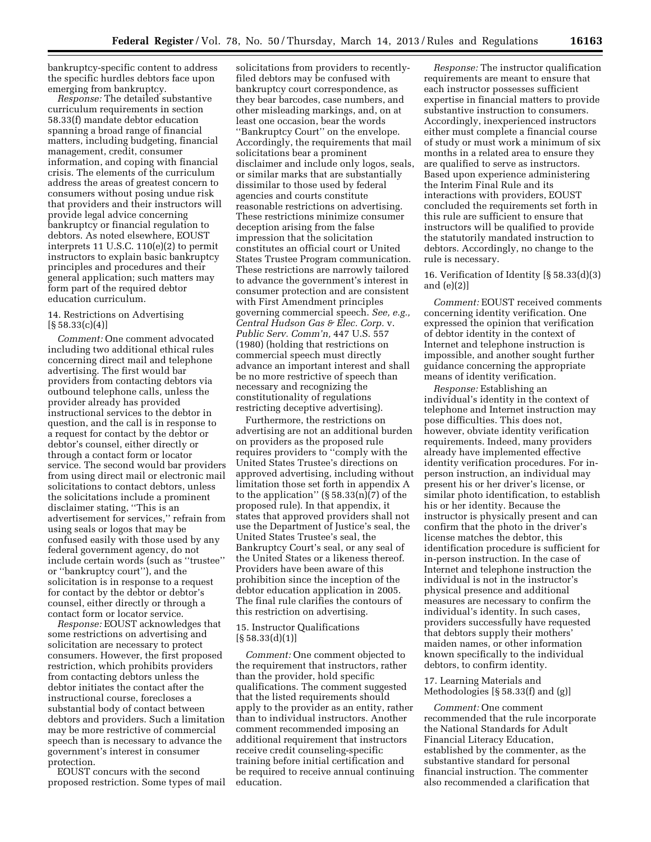bankruptcy-specific content to address the specific hurdles debtors face upon emerging from bankruptcy.

*Response:* The detailed substantive curriculum requirements in section 58.33(f) mandate debtor education spanning a broad range of financial matters, including budgeting, financial management, credit, consumer information, and coping with financial crisis. The elements of the curriculum address the areas of greatest concern to consumers without posing undue risk that providers and their instructors will provide legal advice concerning bankruptcy or financial regulation to debtors. As noted elsewhere, EOUST interprets 11 U.S.C. 110(e)(2) to permit instructors to explain basic bankruptcy principles and procedures and their general application; such matters may form part of the required debtor education curriculum.

# 14. Restrictions on Advertising  $[\S 58.33(c)(4)]$

*Comment:* One comment advocated including two additional ethical rules concerning direct mail and telephone advertising. The first would bar providers from contacting debtors via outbound telephone calls, unless the provider already has provided instructional services to the debtor in question, and the call is in response to a request for contact by the debtor or debtor's counsel, either directly or through a contact form or locator service. The second would bar providers from using direct mail or electronic mail solicitations to contact debtors, unless the solicitations include a prominent disclaimer stating, ''This is an advertisement for services,'' refrain from using seals or logos that may be confused easily with those used by any federal government agency, do not include certain words (such as ''trustee'' or ''bankruptcy court''), and the solicitation is in response to a request for contact by the debtor or debtor's counsel, either directly or through a contact form or locator service.

*Response:* EOUST acknowledges that some restrictions on advertising and solicitation are necessary to protect consumers. However, the first proposed restriction, which prohibits providers from contacting debtors unless the debtor initiates the contact after the instructional course, forecloses a substantial body of contact between debtors and providers. Such a limitation may be more restrictive of commercial speech than is necessary to advance the government's interest in consumer protection.

EOUST concurs with the second proposed restriction. Some types of mail

solicitations from providers to recentlyfiled debtors may be confused with bankruptcy court correspondence, as they bear barcodes, case numbers, and other misleading markings, and, on at least one occasion, bear the words ''Bankruptcy Court'' on the envelope. Accordingly, the requirements that mail solicitations bear a prominent disclaimer and include only logos, seals, or similar marks that are substantially dissimilar to those used by federal agencies and courts constitute reasonable restrictions on advertising. These restrictions minimize consumer deception arising from the false impression that the solicitation constitutes an official court or United States Trustee Program communication. These restrictions are narrowly tailored to advance the government's interest in consumer protection and are consistent with First Amendment principles governing commercial speech. *See, e.g., Central Hudson Gas & Elec. Corp.* v. *Public Serv. Comm'n,* 447 U.S. 557 (1980) (holding that restrictions on commercial speech must directly advance an important interest and shall be no more restrictive of speech than necessary and recognizing the constitutionality of regulations restricting deceptive advertising).

Furthermore, the restrictions on advertising are not an additional burden on providers as the proposed rule requires providers to ''comply with the United States Trustee's directions on approved advertising, including without limitation those set forth in appendix A to the application"  $(\S 58.33(n)(7)$  of the proposed rule). In that appendix, it states that approved providers shall not use the Department of Justice's seal, the United States Trustee's seal, the Bankruptcy Court's seal, or any seal of the United States or a likeness thereof. Providers have been aware of this prohibition since the inception of the debtor education application in 2005. The final rule clarifies the contours of this restriction on advertising.

## 15. Instructor Qualifications  $\left[\frac{6}{58.33}\right]$ (d)(1)

*Comment:* One comment objected to the requirement that instructors, rather than the provider, hold specific qualifications. The comment suggested that the listed requirements should apply to the provider as an entity, rather than to individual instructors. Another comment recommended imposing an additional requirement that instructors receive credit counseling-specific training before initial certification and be required to receive annual continuing education.

*Response:* The instructor qualification requirements are meant to ensure that each instructor possesses sufficient expertise in financial matters to provide substantive instruction to consumers. Accordingly, inexperienced instructors either must complete a financial course of study or must work a minimum of six months in a related area to ensure they are qualified to serve as instructors. Based upon experience administering the Interim Final Rule and its interactions with providers, EOUST concluded the requirements set forth in this rule are sufficient to ensure that instructors will be qualified to provide the statutorily mandated instruction to debtors. Accordingly, no change to the rule is necessary.

# 16. Verification of Identity [§ 58.33(d)(3) and (e)(2)]

*Comment:* EOUST received comments concerning identity verification. One expressed the opinion that verification of debtor identity in the context of Internet and telephone instruction is impossible, and another sought further guidance concerning the appropriate means of identity verification.

*Response:* Establishing an individual's identity in the context of telephone and Internet instruction may pose difficulties. This does not, however, obviate identity verification requirements. Indeed, many providers already have implemented effective identity verification procedures. For inperson instruction, an individual may present his or her driver's license, or similar photo identification, to establish his or her identity. Because the instructor is physically present and can confirm that the photo in the driver's license matches the debtor, this identification procedure is sufficient for in-person instruction. In the case of Internet and telephone instruction the individual is not in the instructor's physical presence and additional measures are necessary to confirm the individual's identity. In such cases, providers successfully have requested that debtors supply their mothers' maiden names, or other information known specifically to the individual debtors, to confirm identity.

# 17. Learning Materials and Methodologies [§ 58.33(f) and (g)]

*Comment:* One comment recommended that the rule incorporate the National Standards for Adult Financial Literacy Education, established by the commenter, as the substantive standard for personal financial instruction. The commenter also recommended a clarification that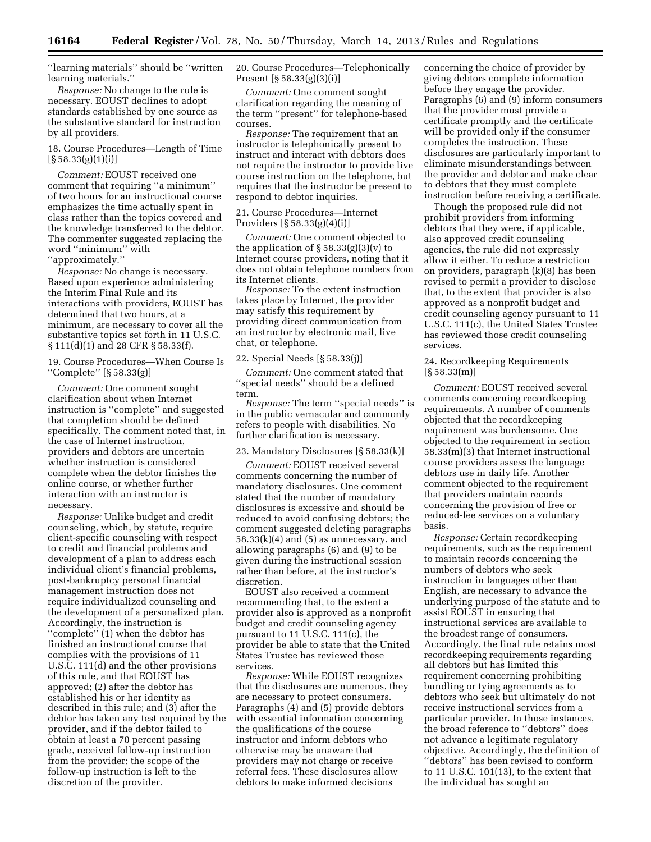''learning materials'' should be ''written learning materials.''

*Response:* No change to the rule is necessary. EOUST declines to adopt standards established by one source as the substantive standard for instruction by all providers.

18. Course Procedures—Length of Time  $[\S 58.33(g)(1)(i)]$ 

*Comment:* EOUST received one comment that requiring ''a minimum'' of two hours for an instructional course emphasizes the time actually spent in class rather than the topics covered and the knowledge transferred to the debtor. The commenter suggested replacing the word ''minimum'' with ''approximately.''

*Response:* No change is necessary. Based upon experience administering the Interim Final Rule and its interactions with providers, EOUST has determined that two hours, at a minimum, are necessary to cover all the substantive topics set forth in 11 U.S.C. § 111(d)(1) and 28 CFR § 58.33(f).

19. Course Procedures—When Course Is ''Complete'' [§ 58.33(g)]

*Comment:* One comment sought clarification about when Internet instruction is ''complete'' and suggested that completion should be defined specifically. The comment noted that, in the case of Internet instruction, providers and debtors are uncertain whether instruction is considered complete when the debtor finishes the online course, or whether further interaction with an instructor is necessary.

*Response:* Unlike budget and credit counseling, which, by statute, require client-specific counseling with respect to credit and financial problems and development of a plan to address each individual client's financial problems, post-bankruptcy personal financial management instruction does not require individualized counseling and the development of a personalized plan. Accordingly, the instruction is ''complete'' (1) when the debtor has finished an instructional course that complies with the provisions of 11 U.S.C. 111(d) and the other provisions of this rule, and that EOUST has approved; (2) after the debtor has established his or her identity as described in this rule; and (3) after the debtor has taken any test required by the provider, and if the debtor failed to obtain at least a 70 percent passing grade, received follow-up instruction from the provider; the scope of the follow-up instruction is left to the discretion of the provider.

20. Course Procedures—Telephonically Present [§ 58.33(g)(3)(i)]

*Comment:* One comment sought clarification regarding the meaning of the term ''present'' for telephone-based courses.

*Response:* The requirement that an instructor is telephonically present to instruct and interact with debtors does not require the instructor to provide live course instruction on the telephone, but requires that the instructor be present to respond to debtor inquiries.

# 21. Course Procedures—Internet Providers [§ 58.33(g)(4)(i)]

*Comment:* One comment objected to the application of  $\S 58.33(g)(3)(v)$  to Internet course providers, noting that it does not obtain telephone numbers from its Internet clients.

*Response:* To the extent instruction takes place by Internet, the provider may satisfy this requirement by providing direct communication from an instructor by electronic mail, live chat, or telephone.

# 22. Special Needs [§ 58.33(j)]

*Comment:* One comment stated that ''special needs'' should be a defined term.

*Response:* The term ''special needs'' is in the public vernacular and commonly refers to people with disabilities. No further clarification is necessary.

### 23. Mandatory Disclosures [§ 58.33(k)]

*Comment:* EOUST received several comments concerning the number of mandatory disclosures. One comment stated that the number of mandatory disclosures is excessive and should be reduced to avoid confusing debtors; the comment suggested deleting paragraphs  $58.33(k)(4)$  and  $(5)$  as unnecessary, and allowing paragraphs (6) and (9) to be given during the instructional session rather than before, at the instructor's discretion.

EOUST also received a comment recommending that, to the extent a provider also is approved as a nonprofit budget and credit counseling agency pursuant to 11 U.S.C. 111(c), the provider be able to state that the United States Trustee has reviewed those services.

*Response:* While EOUST recognizes that the disclosures are numerous, they are necessary to protect consumers. Paragraphs (4) and (5) provide debtors with essential information concerning the qualifications of the course instructor and inform debtors who otherwise may be unaware that providers may not charge or receive referral fees. These disclosures allow debtors to make informed decisions

concerning the choice of provider by giving debtors complete information before they engage the provider. Paragraphs (6) and (9) inform consumers that the provider must provide a certificate promptly and the certificate will be provided only if the consumer completes the instruction. These disclosures are particularly important to eliminate misunderstandings between the provider and debtor and make clear to debtors that they must complete instruction before receiving a certificate.

Though the proposed rule did not prohibit providers from informing debtors that they were, if applicable, also approved credit counseling agencies, the rule did not expressly allow it either. To reduce a restriction on providers, paragraph (k)(8) has been revised to permit a provider to disclose that, to the extent that provider is also approved as a nonprofit budget and credit counseling agency pursuant to 11 U.S.C. 111(c), the United States Trustee has reviewed those credit counseling services.

# 24. Recordkeeping Requirements [§ 58.33(m)]

*Comment:* EOUST received several comments concerning recordkeeping requirements. A number of comments objected that the recordkeeping requirement was burdensome. One objected to the requirement in section 58.33(m)(3) that Internet instructional course providers assess the language debtors use in daily life. Another comment objected to the requirement that providers maintain records concerning the provision of free or reduced-fee services on a voluntary basis.

*Response:* Certain recordkeeping requirements, such as the requirement to maintain records concerning the numbers of debtors who seek instruction in languages other than English, are necessary to advance the underlying purpose of the statute and to assist EOUST in ensuring that instructional services are available to the broadest range of consumers. Accordingly, the final rule retains most recordkeeping requirements regarding all debtors but has limited this requirement concerning prohibiting bundling or tying agreements as to debtors who seek but ultimately do not receive instructional services from a particular provider. In those instances, the broad reference to ''debtors'' does not advance a legitimate regulatory objective. Accordingly, the definition of ''debtors'' has been revised to conform to 11 U.S.C. 101(13), to the extent that the individual has sought an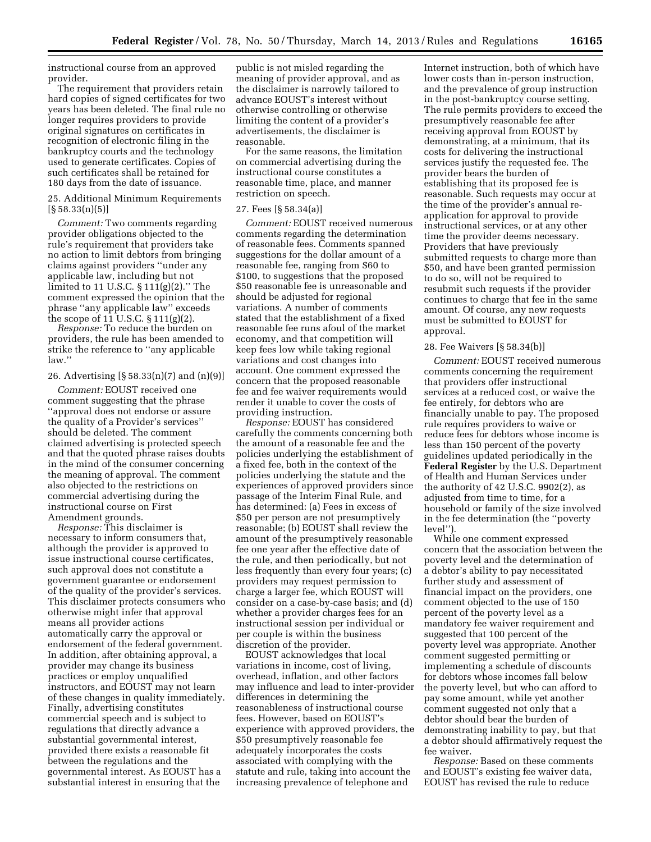instructional course from an approved provider.

The requirement that providers retain hard copies of signed certificates for two years has been deleted. The final rule no longer requires providers to provide original signatures on certificates in recognition of electronic filing in the bankruptcy courts and the technology used to generate certificates. Copies of such certificates shall be retained for 180 days from the date of issuance.

# 25. Additional Minimum Requirements  $[\S 58.33(n)(5)]$

*Comment:* Two comments regarding provider obligations objected to the rule's requirement that providers take no action to limit debtors from bringing claims against providers ''under any applicable law, including but not limited to 11 U.S.C. § 111(g)(2).'' The comment expressed the opinion that the phrase ''any applicable law'' exceeds the scope of  $11 \text{ U.S.C. } $111(g)(2)$ .

*Response:* To reduce the burden on providers, the rule has been amended to strike the reference to ''any applicable law.''

# 26. Advertising [§ 58.33(n)(7) and (n)(9)]

*Comment:* EOUST received one comment suggesting that the phrase ''approval does not endorse or assure the quality of a Provider's services'' should be deleted. The comment claimed advertising is protected speech and that the quoted phrase raises doubts in the mind of the consumer concerning the meaning of approval. The comment also objected to the restrictions on commercial advertising during the instructional course on First Amendment grounds.

*Response:* This disclaimer is necessary to inform consumers that, although the provider is approved to issue instructional course certificates, such approval does not constitute a government guarantee or endorsement of the quality of the provider's services. This disclaimer protects consumers who otherwise might infer that approval means all provider actions automatically carry the approval or endorsement of the federal government. In addition, after obtaining approval, a provider may change its business practices or employ unqualified instructors, and EOUST may not learn of these changes in quality immediately. Finally, advertising constitutes commercial speech and is subject to regulations that directly advance a substantial governmental interest, provided there exists a reasonable fit between the regulations and the governmental interest. As EOUST has a substantial interest in ensuring that the

public is not misled regarding the meaning of provider approval, and as the disclaimer is narrowly tailored to advance EOUST's interest without otherwise controlling or otherwise limiting the content of a provider's advertisements, the disclaimer is reasonable.

For the same reasons, the limitation on commercial advertising during the instructional course constitutes a reasonable time, place, and manner restriction on speech.

#### 27. Fees [§ 58.34(a)]

*Comment:* EOUST received numerous comments regarding the determination of reasonable fees. Comments spanned suggestions for the dollar amount of a reasonable fee, ranging from \$60 to \$100, to suggestions that the proposed \$50 reasonable fee is unreasonable and should be adjusted for regional variations. A number of comments stated that the establishment of a fixed reasonable fee runs afoul of the market economy, and that competition will keep fees low while taking regional variations and cost changes into account. One comment expressed the concern that the proposed reasonable fee and fee waiver requirements would render it unable to cover the costs of providing instruction.

*Response:* EOUST has considered carefully the comments concerning both the amount of a reasonable fee and the policies underlying the establishment of a fixed fee, both in the context of the policies underlying the statute and the experiences of approved providers since passage of the Interim Final Rule, and has determined: (a) Fees in excess of \$50 per person are not presumptively reasonable; (b) EOUST shall review the amount of the presumptively reasonable fee one year after the effective date of the rule, and then periodically, but not less frequently than every four years; (c) providers may request permission to charge a larger fee, which EOUST will consider on a case-by-case basis; and (d) whether a provider charges fees for an instructional session per individual or per couple is within the business discretion of the provider.

EOUST acknowledges that local variations in income, cost of living, overhead, inflation, and other factors may influence and lead to inter-provider differences in determining the reasonableness of instructional course fees. However, based on EOUST's experience with approved providers, the \$50 presumptively reasonable fee adequately incorporates the costs associated with complying with the statute and rule, taking into account the increasing prevalence of telephone and

Internet instruction, both of which have lower costs than in-person instruction, and the prevalence of group instruction in the post-bankruptcy course setting. The rule permits providers to exceed the presumptively reasonable fee after receiving approval from EOUST by demonstrating, at a minimum, that its costs for delivering the instructional services justify the requested fee. The provider bears the burden of establishing that its proposed fee is reasonable. Such requests may occur at the time of the provider's annual reapplication for approval to provide instructional services, or at any other time the provider deems necessary. Providers that have previously submitted requests to charge more than \$50, and have been granted permission to do so, will not be required to resubmit such requests if the provider continues to charge that fee in the same amount. Of course, any new requests must be submitted to EOUST for approval.

### 28. Fee Waivers [§ 58.34(b)]

*Comment:* EOUST received numerous comments concerning the requirement that providers offer instructional services at a reduced cost, or waive the fee entirely, for debtors who are financially unable to pay. The proposed rule requires providers to waive or reduce fees for debtors whose income is less than 150 percent of the poverty guidelines updated periodically in the **Federal Register** by the U.S. Department of Health and Human Services under the authority of 42 U.S.C. 9902(2), as adjusted from time to time, for a household or family of the size involved in the fee determination (the ''poverty level'').

While one comment expressed concern that the association between the poverty level and the determination of a debtor's ability to pay necessitated further study and assessment of financial impact on the providers, one comment objected to the use of 150 percent of the poverty level as a mandatory fee waiver requirement and suggested that 100 percent of the poverty level was appropriate. Another comment suggested permitting or implementing a schedule of discounts for debtors whose incomes fall below the poverty level, but who can afford to pay some amount, while yet another comment suggested not only that a debtor should bear the burden of demonstrating inability to pay, but that a debtor should affirmatively request the fee waiver.

*Response:* Based on these comments and EOUST's existing fee waiver data, EOUST has revised the rule to reduce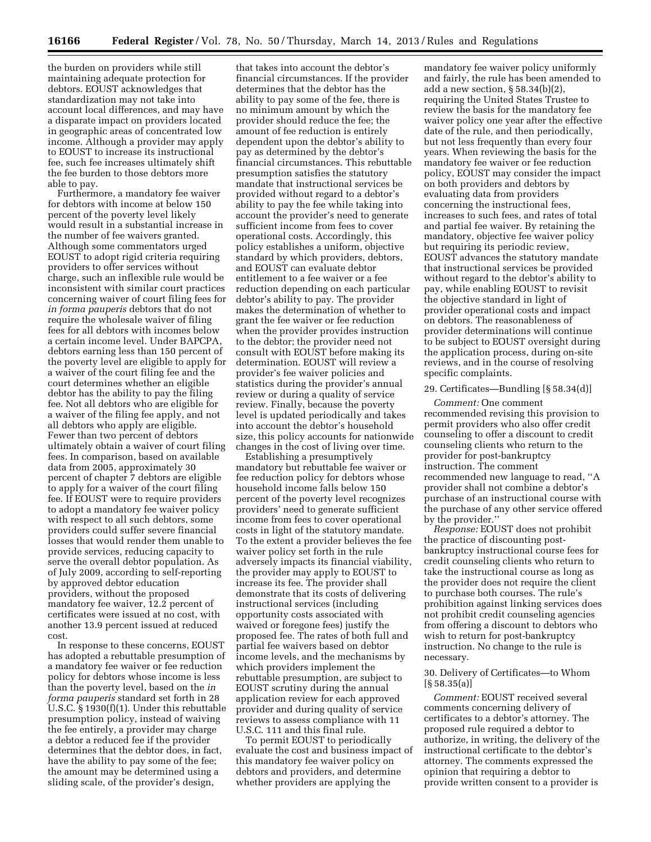the burden on providers while still maintaining adequate protection for debtors. EOUST acknowledges that standardization may not take into account local differences, and may have a disparate impact on providers located in geographic areas of concentrated low income. Although a provider may apply to EOUST to increase its instructional fee, such fee increases ultimately shift the fee burden to those debtors more able to pay.

Furthermore, a mandatory fee waiver for debtors with income at below 150 percent of the poverty level likely would result in a substantial increase in the number of fee waivers granted. Although some commentators urged EOUST to adopt rigid criteria requiring providers to offer services without charge, such an inflexible rule would be inconsistent with similar court practices concerning waiver of court filing fees for *in forma pauperis* debtors that do not require the wholesale waiver of filing fees for all debtors with incomes below a certain income level. Under BAPCPA, debtors earning less than 150 percent of the poverty level are eligible to apply for a waiver of the court filing fee and the court determines whether an eligible debtor has the ability to pay the filing fee. Not all debtors who are eligible for a waiver of the filing fee apply, and not all debtors who apply are eligible. Fewer than two percent of debtors ultimately obtain a waiver of court filing fees. In comparison, based on available data from 2005, approximately 30 percent of chapter 7 debtors are eligible to apply for a waiver of the court filing fee. If EOUST were to require providers to adopt a mandatory fee waiver policy with respect to all such debtors, some providers could suffer severe financial losses that would render them unable to provide services, reducing capacity to serve the overall debtor population. As of July 2009, according to self-reporting by approved debtor education providers, without the proposed mandatory fee waiver, 12.2 percent of certificates were issued at no cost, with another 13.9 percent issued at reduced cost.

In response to these concerns, EOUST has adopted a rebuttable presumption of a mandatory fee waiver or fee reduction policy for debtors whose income is less than the poverty level, based on the *in forma pauperis* standard set forth in 28 U.S.C. § 1930(f)(1). Under this rebuttable presumption policy, instead of waiving the fee entirely, a provider may charge a debtor a reduced fee if the provider determines that the debtor does, in fact, have the ability to pay some of the fee; the amount may be determined using a sliding scale, of the provider's design,

that takes into account the debtor's financial circumstances. If the provider determines that the debtor has the ability to pay some of the fee, there is no minimum amount by which the provider should reduce the fee; the amount of fee reduction is entirely dependent upon the debtor's ability to pay as determined by the debtor's financial circumstances. This rebuttable presumption satisfies the statutory mandate that instructional services be provided without regard to a debtor's ability to pay the fee while taking into account the provider's need to generate sufficient income from fees to cover operational costs. Accordingly, this policy establishes a uniform, objective standard by which providers, debtors, and EOUST can evaluate debtor entitlement to a fee waiver or a fee reduction depending on each particular debtor's ability to pay. The provider makes the determination of whether to grant the fee waiver or fee reduction when the provider provides instruction to the debtor; the provider need not consult with EOUST before making its determination. EOUST will review a provider's fee waiver policies and statistics during the provider's annual review or during a quality of service review. Finally, because the poverty level is updated periodically and takes into account the debtor's household size, this policy accounts for nationwide changes in the cost of living over time.

Establishing a presumptively mandatory but rebuttable fee waiver or fee reduction policy for debtors whose household income falls below 150 percent of the poverty level recognizes providers' need to generate sufficient income from fees to cover operational costs in light of the statutory mandate. To the extent a provider believes the fee waiver policy set forth in the rule adversely impacts its financial viability, the provider may apply to EOUST to increase its fee. The provider shall demonstrate that its costs of delivering instructional services (including opportunity costs associated with waived or foregone fees) justify the proposed fee. The rates of both full and partial fee waivers based on debtor income levels, and the mechanisms by which providers implement the rebuttable presumption, are subject to EOUST scrutiny during the annual application review for each approved provider and during quality of service reviews to assess compliance with 11 U.S.C. 111 and this final rule.

To permit EOUST to periodically evaluate the cost and business impact of this mandatory fee waiver policy on debtors and providers, and determine whether providers are applying the

mandatory fee waiver policy uniformly and fairly, the rule has been amended to add a new section, § 58.34(b)(2), requiring the United States Trustee to review the basis for the mandatory fee waiver policy one year after the effective date of the rule, and then periodically, but not less frequently than every four years. When reviewing the basis for the mandatory fee waiver or fee reduction policy, EOUST may consider the impact on both providers and debtors by evaluating data from providers concerning the instructional fees, increases to such fees, and rates of total and partial fee waiver. By retaining the mandatory, objective fee waiver policy but requiring its periodic review, EOUST advances the statutory mandate that instructional services be provided without regard to the debtor's ability to pay, while enabling EOUST to revisit the objective standard in light of provider operational costs and impact on debtors. The reasonableness of provider determinations will continue to be subject to EOUST oversight during the application process, during on-site reviews, and in the course of resolving specific complaints.

## 29. Certificates—Bundling [§ 58.34(d)]

*Comment:* One comment recommended revising this provision to permit providers who also offer credit counseling to offer a discount to credit counseling clients who return to the provider for post-bankruptcy instruction. The comment recommended new language to read, ''A provider shall not combine a debtor's purchase of an instructional course with the purchase of any other service offered by the provider.''

*Response:* EOUST does not prohibit the practice of discounting postbankruptcy instructional course fees for credit counseling clients who return to take the instructional course as long as the provider does not require the client to purchase both courses. The rule's prohibition against linking services does not prohibit credit counseling agencies from offering a discount to debtors who wish to return for post-bankruptcy instruction. No change to the rule is necessary.

# 30. Delivery of Certificates—to Whom  $[§ 58.35(a)]$

*Comment:* EOUST received several comments concerning delivery of certificates to a debtor's attorney. The proposed rule required a debtor to authorize, in writing, the delivery of the instructional certificate to the debtor's attorney. The comments expressed the opinion that requiring a debtor to provide written consent to a provider is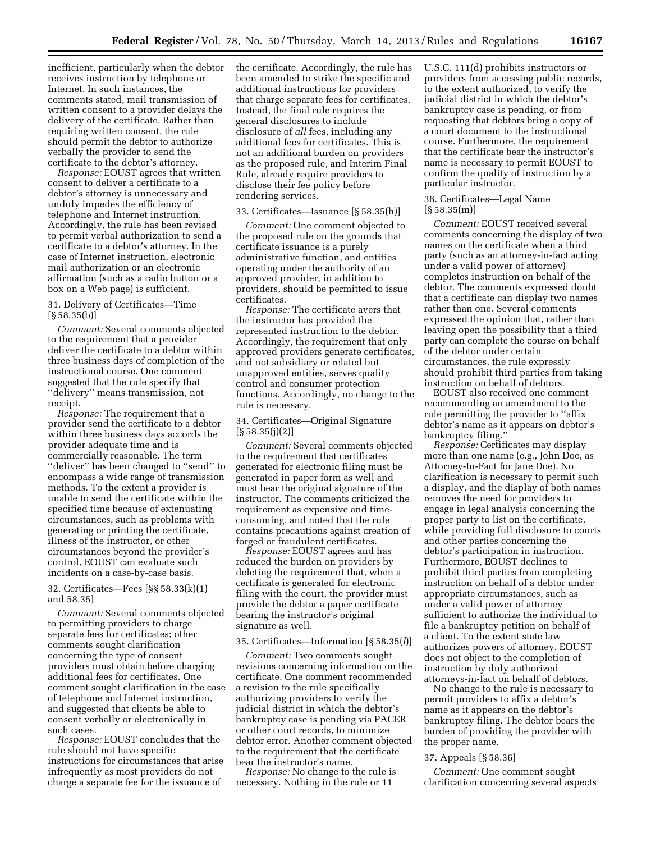inefficient, particularly when the debtor receives instruction by telephone or Internet. In such instances, the comments stated, mail transmission of written consent to a provider delays the delivery of the certificate. Rather than requiring written consent, the rule should permit the debtor to authorize verbally the provider to send the certificate to the debtor's attorney.

*Response:* EOUST agrees that written consent to deliver a certificate to a debtor's attorney is unnecessary and unduly impedes the efficiency of telephone and Internet instruction. Accordingly, the rule has been revised to permit verbal authorization to send a certificate to a debtor's attorney. In the case of Internet instruction, electronic mail authorization or an electronic affirmation (such as a radio button or a box on a Web page) is sufficient.

# 31. Delivery of Certificates—Time  $[\S 58.35(b)]$

*Comment:* Several comments objected to the requirement that a provider deliver the certificate to a debtor within three business days of completion of the instructional course. One comment suggested that the rule specify that ''delivery'' means transmission, not receipt.

*Response:* The requirement that a provider send the certificate to a debtor within three business days accords the provider adequate time and is commercially reasonable. The term ''deliver'' has been changed to ''send'' to encompass a wide range of transmission methods. To the extent a provider is unable to send the certificate within the specified time because of extenuating circumstances, such as problems with generating or printing the certificate, illness of the instructor, or other circumstances beyond the provider's control, EOUST can evaluate such incidents on a case-by-case basis.

32. Certificates—Fees [§§ 58.33(k)(1) and 58.35]

*Comment:* Several comments objected to permitting providers to charge separate fees for certificates; other comments sought clarification concerning the type of consent providers must obtain before charging additional fees for certificates. One comment sought clarification in the case of telephone and Internet instruction, and suggested that clients be able to consent verbally or electronically in such cases.

*Response:* EOUST concludes that the rule should not have specific instructions for circumstances that arise infrequently as most providers do not charge a separate fee for the issuance of

the certificate. Accordingly, the rule has been amended to strike the specific and additional instructions for providers that charge separate fees for certificates. Instead, the final rule requires the general disclosures to include disclosure of *all* fees, including any additional fees for certificates. This is not an additional burden on providers as the proposed rule, and Interim Final Rule, already require providers to disclose their fee policy before rendering services.

## 33. Certificates—Issuance [§ 58.35(h)]

*Comment:* One comment objected to the proposed rule on the grounds that certificate issuance is a purely administrative function, and entities operating under the authority of an approved provider, in addition to providers, should be permitted to issue certificates.

*Response:* The certificate avers that the instructor has provided the represented instruction to the debtor. Accordingly, the requirement that only approved providers generate certificates, and not subsidiary or related but unapproved entities, serves quality control and consumer protection functions. Accordingly, no change to the rule is necessary.

# 34. Certificates—Original Signature  $[§ 58.35(j)(2)]$

*Comment:* Several comments objected to the requirement that certificates generated for electronic filing must be generated in paper form as well and must bear the original signature of the instructor. The comments criticized the requirement as expensive and timeconsuming, and noted that the rule contains precautions against creation of forged or fraudulent certificates.

*Response:* EOUST agrees and has reduced the burden on providers by deleting the requirement that, when a certificate is generated for electronic filing with the court, the provider must provide the debtor a paper certificate bearing the instructor's original signature as well.

## 35. Certificates—Information [§ 58.35(*l*)]

*Comment:* Two comments sought revisions concerning information on the certificate. One comment recommended a revision to the rule specifically authorizing providers to verify the judicial district in which the debtor's bankruptcy case is pending via PACER or other court records, to minimize debtor error. Another comment objected to the requirement that the certificate bear the instructor's name.

*Response:* No change to the rule is necessary. Nothing in the rule or 11

U.S.C. 111(d) prohibits instructors or providers from accessing public records, to the extent authorized, to verify the judicial district in which the debtor's bankruptcy case is pending, or from requesting that debtors bring a copy of a court document to the instructional course. Furthermore, the requirement that the certificate bear the instructor's name is necessary to permit EOUST to confirm the quality of instruction by a particular instructor.

# 36. Certificates—Legal Name [§ 58.35(m)]

*Comment:* EOUST received several comments concerning the display of two names on the certificate when a third party (such as an attorney-in-fact acting under a valid power of attorney) completes instruction on behalf of the debtor. The comments expressed doubt that a certificate can display two names rather than one. Several comments expressed the opinion that, rather than leaving open the possibility that a third party can complete the course on behalf of the debtor under certain circumstances, the rule expressly should prohibit third parties from taking instruction on behalf of debtors.

EOUST also received one comment recommending an amendment to the rule permitting the provider to ''affix debtor's name as it appears on debtor's bankruptcy filing.''

*Response:* Certificates may display more than one name (e.g., John Doe, as Attorney-In-Fact for Jane Doe). No clarification is necessary to permit such a display, and the display of both names removes the need for providers to engage in legal analysis concerning the proper party to list on the certificate, while providing full disclosure to courts and other parties concerning the debtor's participation in instruction. Furthermore, EOUST declines to prohibit third parties from completing instruction on behalf of a debtor under appropriate circumstances, such as under a valid power of attorney sufficient to authorize the individual to file a bankruptcy petition on behalf of a client. To the extent state law authorizes powers of attorney, EOUST does not object to the completion of instruction by duly authorized attorneys-in-fact on behalf of debtors.

No change to the rule is necessary to permit providers to affix a debtor's name as it appears on the debtor's bankruptcy filing. The debtor bears the burden of providing the provider with the proper name.

### 37. Appeals [§ 58.36]

*Comment:* One comment sought clarification concerning several aspects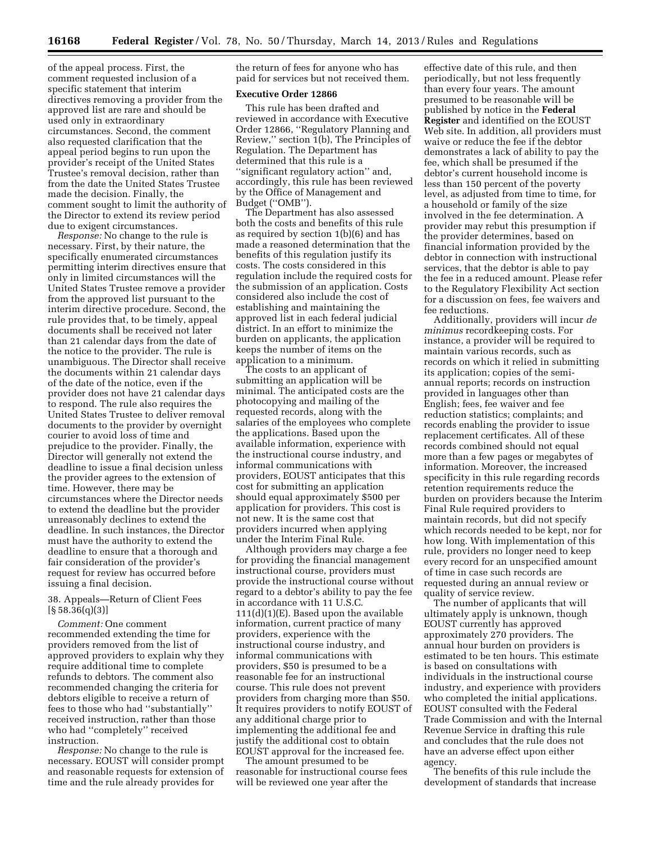of the appeal process. First, the comment requested inclusion of a specific statement that interim directives removing a provider from the approved list are rare and should be used only in extraordinary circumstances. Second, the comment also requested clarification that the appeal period begins to run upon the provider's receipt of the United States Trustee's removal decision, rather than from the date the United States Trustee made the decision. Finally, the comment sought to limit the authority of the Director to extend its review period due to exigent circumstances.

*Response:* No change to the rule is necessary. First, by their nature, the specifically enumerated circumstances permitting interim directives ensure that only in limited circumstances will the United States Trustee remove a provider from the approved list pursuant to the interim directive procedure. Second, the rule provides that, to be timely, appeal documents shall be received not later than 21 calendar days from the date of the notice to the provider. The rule is unambiguous. The Director shall receive the documents within 21 calendar days of the date of the notice, even if the provider does not have 21 calendar days to respond. The rule also requires the United States Trustee to deliver removal documents to the provider by overnight courier to avoid loss of time and prejudice to the provider. Finally, the Director will generally not extend the deadline to issue a final decision unless the provider agrees to the extension of time. However, there may be circumstances where the Director needs to extend the deadline but the provider unreasonably declines to extend the deadline. In such instances, the Director must have the authority to extend the deadline to ensure that a thorough and fair consideration of the provider's request for review has occurred before issuing a final decision.

# 38. Appeals—Return of Client Fees  $[§ 58.36(q)(3)]$

*Comment:* One comment recommended extending the time for providers removed from the list of approved providers to explain why they require additional time to complete refunds to debtors. The comment also recommended changing the criteria for debtors eligible to receive a return of fees to those who had ''substantially'' received instruction, rather than those who had ''completely'' received instruction.

*Response:* No change to the rule is necessary. EOUST will consider prompt and reasonable requests for extension of time and the rule already provides for

the return of fees for anyone who has paid for services but not received them.

## **Executive Order 12866**

This rule has been drafted and reviewed in accordance with Executive Order 12866, ''Regulatory Planning and Review,'' section 1(b), The Principles of Regulation. The Department has determined that this rule is a ''significant regulatory action'' and, accordingly, this rule has been reviewed by the Office of Management and Budget (''OMB'').

The Department has also assessed both the costs and benefits of this rule as required by section 1(b)(6) and has made a reasoned determination that the benefits of this regulation justify its costs. The costs considered in this regulation include the required costs for the submission of an application. Costs considered also include the cost of establishing and maintaining the approved list in each federal judicial district. In an effort to minimize the burden on applicants, the application keeps the number of items on the application to a minimum.

The costs to an applicant of submitting an application will be minimal. The anticipated costs are the photocopying and mailing of the requested records, along with the salaries of the employees who complete the applications. Based upon the available information, experience with the instructional course industry, and informal communications with providers, EOUST anticipates that this cost for submitting an application should equal approximately \$500 per application for providers. This cost is not new. It is the same cost that providers incurred when applying under the Interim Final Rule.

Although providers may charge a fee for providing the financial management instructional course, providers must provide the instructional course without regard to a debtor's ability to pay the fee in accordance with 11 U.S.C.  $111(d)(1)(E)$ . Based upon the available information, current practice of many providers, experience with the instructional course industry, and informal communications with providers, \$50 is presumed to be a reasonable fee for an instructional course. This rule does not prevent providers from charging more than \$50. It requires providers to notify EOUST of any additional charge prior to implementing the additional fee and justify the additional cost to obtain EOUST approval for the increased fee.

The amount presumed to be reasonable for instructional course fees will be reviewed one year after the

effective date of this rule, and then periodically, but not less frequently than every four years. The amount presumed to be reasonable will be published by notice in the **Federal Register** and identified on the EOUST Web site. In addition, all providers must waive or reduce the fee if the debtor demonstrates a lack of ability to pay the fee, which shall be presumed if the debtor's current household income is less than 150 percent of the poverty level, as adjusted from time to time, for a household or family of the size involved in the fee determination. A provider may rebut this presumption if the provider determines, based on financial information provided by the debtor in connection with instructional services, that the debtor is able to pay the fee in a reduced amount. Please refer to the Regulatory Flexibility Act section for a discussion on fees, fee waivers and fee reductions.

Additionally, providers will incur *de minimus* recordkeeping costs. For instance, a provider will be required to maintain various records, such as records on which it relied in submitting its application; copies of the semiannual reports; records on instruction provided in languages other than English; fees, fee waiver and fee reduction statistics; complaints; and records enabling the provider to issue replacement certificates. All of these records combined should not equal more than a few pages or megabytes of information. Moreover, the increased specificity in this rule regarding records retention requirements reduce the burden on providers because the Interim Final Rule required providers to maintain records, but did not specify which records needed to be kept, nor for how long. With implementation of this rule, providers no longer need to keep every record for an unspecified amount of time in case such records are requested during an annual review or quality of service review.

The number of applicants that will ultimately apply is unknown, though EOUST currently has approved approximately 270 providers. The annual hour burden on providers is estimated to be ten hours. This estimate is based on consultations with individuals in the instructional course industry, and experience with providers who completed the initial applications. EOUST consulted with the Federal Trade Commission and with the Internal Revenue Service in drafting this rule and concludes that the rule does not have an adverse effect upon either agency.

The benefits of this rule include the development of standards that increase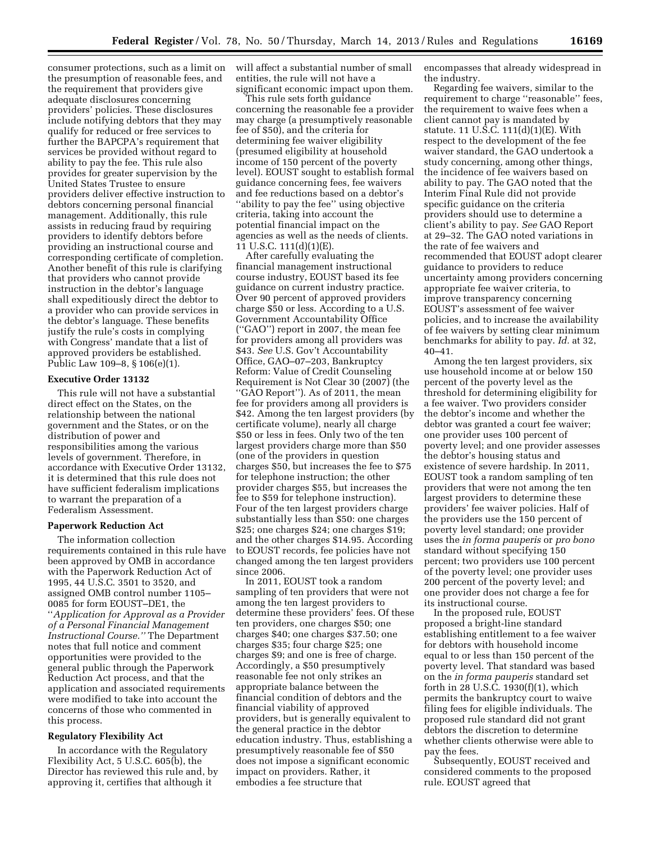consumer protections, such as a limit on the presumption of reasonable fees, and the requirement that providers give adequate disclosures concerning providers' policies. These disclosures include notifying debtors that they may qualify for reduced or free services to further the BAPCPA's requirement that services be provided without regard to ability to pay the fee. This rule also provides for greater supervision by the United States Trustee to ensure providers deliver effective instruction to debtors concerning personal financial management. Additionally, this rule assists in reducing fraud by requiring providers to identify debtors before providing an instructional course and corresponding certificate of completion. Another benefit of this rule is clarifying that providers who cannot provide instruction in the debtor's language shall expeditiously direct the debtor to a provider who can provide services in the debtor's language. These benefits justify the rule's costs in complying with Congress' mandate that a list of approved providers be established. Public Law 109–8, § 106(e)(1).

### **Executive Order 13132**

This rule will not have a substantial direct effect on the States, on the relationship between the national government and the States, or on the distribution of power and responsibilities among the various levels of government. Therefore, in accordance with Executive Order 13132, it is determined that this rule does not have sufficient federalism implications to warrant the preparation of a Federalism Assessment.

### **Paperwork Reduction Act**

The information collection requirements contained in this rule have been approved by OMB in accordance with the Paperwork Reduction Act of 1995, 44 U.S.C. 3501 to 3520, and assigned OMB control number 1105– 0085 for form EOUST–DE1, the ''*Application for Approval as a Provider of a Personal Financial Management Instructional Course.''* The Department notes that full notice and comment opportunities were provided to the general public through the Paperwork Reduction Act process, and that the application and associated requirements were modified to take into account the concerns of those who commented in this process.

# **Regulatory Flexibility Act**

In accordance with the Regulatory Flexibility Act, 5 U.S.C. 605(b), the Director has reviewed this rule and, by approving it, certifies that although it

will affect a substantial number of small entities, the rule will not have a significant economic impact upon them.

This rule sets forth guidance concerning the reasonable fee a provider may charge (a presumptively reasonable fee of \$50), and the criteria for determining fee waiver eligibility (presumed eligibility at household income of 150 percent of the poverty level). EOUST sought to establish formal guidance concerning fees, fee waivers and fee reductions based on a debtor's ''ability to pay the fee'' using objective criteria, taking into account the potential financial impact on the agencies as well as the needs of clients. 11 U.S.C. 111(d)(1)(E).

After carefully evaluating the financial management instructional course industry, EOUST based its fee guidance on current industry practice. Over 90 percent of approved providers charge \$50 or less. According to a U.S. Government Accountability Office (''GAO'') report in 2007, the mean fee for providers among all providers was \$43. *See* U.S. Gov't Accountability Office, GAO–07–203, Bankruptcy Reform: Value of Credit Counseling Requirement is Not Clear 30 (2007) (the ''GAO Report''). As of 2011, the mean fee for providers among all providers is \$42. Among the ten largest providers (by certificate volume), nearly all charge \$50 or less in fees. Only two of the ten largest providers charge more than \$50 (one of the providers in question charges \$50, but increases the fee to \$75 for telephone instruction; the other provider charges \$55, but increases the fee to \$59 for telephone instruction). Four of the ten largest providers charge substantially less than \$50: one charges \$25; one charges \$24; one charges \$19; and the other charges \$14.95. According to EOUST records, fee policies have not changed among the ten largest providers since 2006.

In 2011, EOUST took a random sampling of ten providers that were not among the ten largest providers to determine these providers' fees. Of these ten providers, one charges \$50; one charges \$40; one charges \$37.50; one charges \$35; four charge \$25; one charges \$9; and one is free of charge. Accordingly, a \$50 presumptively reasonable fee not only strikes an appropriate balance between the financial condition of debtors and the financial viability of approved providers, but is generally equivalent to the general practice in the debtor education industry. Thus, establishing a presumptively reasonable fee of \$50 does not impose a significant economic impact on providers. Rather, it embodies a fee structure that

encompasses that already widespread in the industry.

Regarding fee waivers, similar to the requirement to charge ''reasonable'' fees, the requirement to waive fees when a client cannot pay is mandated by statute. 11 U.S.C. 111(d)(1)(E). With respect to the development of the fee waiver standard, the GAO undertook a study concerning, among other things, the incidence of fee waivers based on ability to pay. The GAO noted that the Interim Final Rule did not provide specific guidance on the criteria providers should use to determine a client's ability to pay. *See* GAO Report at 29–32. The GAO noted variations in the rate of fee waivers and recommended that EOUST adopt clearer guidance to providers to reduce uncertainty among providers concerning appropriate fee waiver criteria, to improve transparency concerning EOUST's assessment of fee waiver policies, and to increase the availability of fee waivers by setting clear minimum benchmarks for ability to pay. *Id.* at 32, 40–41.

Among the ten largest providers, six use household income at or below 150 percent of the poverty level as the threshold for determining eligibility for a fee waiver. Two providers consider the debtor's income and whether the debtor was granted a court fee waiver; one provider uses 100 percent of poverty level; and one provider assesses the debtor's housing status and existence of severe hardship. In 2011, EOUST took a random sampling of ten providers that were not among the ten largest providers to determine these providers' fee waiver policies. Half of the providers use the 150 percent of poverty level standard; one provider uses the *in forma pauperis* or *pro bono*  standard without specifying 150 percent; two providers use 100 percent of the poverty level; one provider uses 200 percent of the poverty level; and one provider does not charge a fee for its instructional course.

In the proposed rule, EOUST proposed a bright-line standard establishing entitlement to a fee waiver for debtors with household income equal to or less than 150 percent of the poverty level. That standard was based on the *in forma pauperis* standard set forth in 28 U.S.C. 1930(f)(1), which permits the bankruptcy court to waive filing fees for eligible individuals. The proposed rule standard did not grant debtors the discretion to determine whether clients otherwise were able to pay the fees.

Subsequently, EOUST received and considered comments to the proposed rule. EOUST agreed that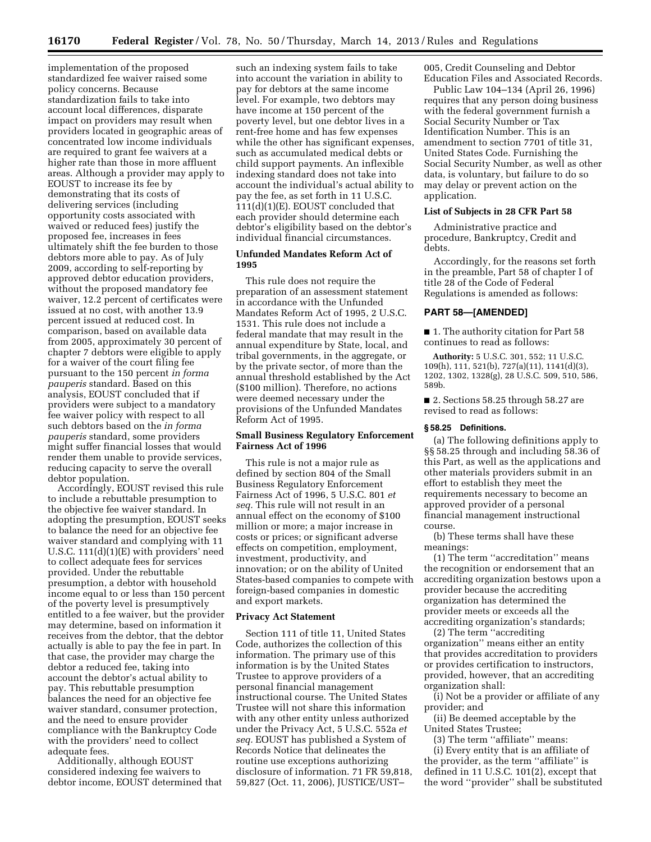implementation of the proposed standardized fee waiver raised some policy concerns. Because standardization fails to take into account local differences, disparate impact on providers may result when providers located in geographic areas of concentrated low income individuals are required to grant fee waivers at a higher rate than those in more affluent areas. Although a provider may apply to EOUST to increase its fee by demonstrating that its costs of delivering services (including opportunity costs associated with waived or reduced fees) justify the proposed fee, increases in fees ultimately shift the fee burden to those debtors more able to pay. As of July 2009, according to self-reporting by approved debtor education providers, without the proposed mandatory fee waiver, 12.2 percent of certificates were issued at no cost, with another 13.9 percent issued at reduced cost. In comparison, based on available data from 2005, approximately 30 percent of chapter 7 debtors were eligible to apply for a waiver of the court filing fee pursuant to the 150 percent *in forma pauperis* standard. Based on this analysis, EOUST concluded that if providers were subject to a mandatory fee waiver policy with respect to all such debtors based on the *in forma pauperis* standard, some providers might suffer financial losses that would render them unable to provide services, reducing capacity to serve the overall debtor population.

Accordingly, EOUST revised this rule to include a rebuttable presumption to the objective fee waiver standard. In adopting the presumption, EOUST seeks to balance the need for an objective fee waiver standard and complying with 11 U.S.C. 111(d)(1)(E) with providers' need to collect adequate fees for services provided. Under the rebuttable presumption, a debtor with household income equal to or less than 150 percent of the poverty level is presumptively entitled to a fee waiver, but the provider may determine, based on information it receives from the debtor, that the debtor actually is able to pay the fee in part. In that case, the provider may charge the debtor a reduced fee, taking into account the debtor's actual ability to pay. This rebuttable presumption balances the need for an objective fee waiver standard, consumer protection, and the need to ensure provider compliance with the Bankruptcy Code with the providers' need to collect adequate fees.

Additionally, although EOUST considered indexing fee waivers to debtor income, EOUST determined that

such an indexing system fails to take into account the variation in ability to pay for debtors at the same income level. For example, two debtors may have income at 150 percent of the poverty level, but one debtor lives in a rent-free home and has few expenses while the other has significant expenses, such as accumulated medical debts or child support payments. An inflexible indexing standard does not take into account the individual's actual ability to pay the fee, as set forth in 11 U.S.C. 111(d)(1)(E). EOUST concluded that each provider should determine each debtor's eligibility based on the debtor's individual financial circumstances.

## **Unfunded Mandates Reform Act of 1995**

This rule does not require the preparation of an assessment statement in accordance with the Unfunded Mandates Reform Act of 1995, 2 U.S.C. 1531. This rule does not include a federal mandate that may result in the annual expenditure by State, local, and tribal governments, in the aggregate, or by the private sector, of more than the annual threshold established by the Act (\$100 million). Therefore, no actions were deemed necessary under the provisions of the Unfunded Mandates Reform Act of 1995.

# **Small Business Regulatory Enforcement Fairness Act of 1996**

This rule is not a major rule as defined by section 804 of the Small Business Regulatory Enforcement Fairness Act of 1996, 5 U.S.C. 801 *et seq.* This rule will not result in an annual effect on the economy of \$100 million or more; a major increase in costs or prices; or significant adverse effects on competition, employment, investment, productivity, and innovation; or on the ability of United States-based companies to compete with foreign-based companies in domestic and export markets.

# **Privacy Act Statement**

Section 111 of title 11, United States Code, authorizes the collection of this information. The primary use of this information is by the United States Trustee to approve providers of a personal financial management instructional course. The United States Trustee will not share this information with any other entity unless authorized under the Privacy Act, 5 U.S.C. 552a *et seq.* EOUST has published a System of Records Notice that delineates the routine use exceptions authorizing disclosure of information. 71 FR 59,818, 59,827 (Oct. 11, 2006), JUSTICE/UST–

005, Credit Counseling and Debtor Education Files and Associated Records.

Public Law 104–134 (April 26, 1996) requires that any person doing business with the federal government furnish a Social Security Number or Tax Identification Number. This is an amendment to section 7701 of title 31, United States Code. Furnishing the Social Security Number, as well as other data, is voluntary, but failure to do so may delay or prevent action on the application.

## **List of Subjects in 28 CFR Part 58**

Administrative practice and procedure, Bankruptcy, Credit and debts.

Accordingly, for the reasons set forth in the preamble, Part 58 of chapter I of title 28 of the Code of Federal Regulations is amended as follows:

## **PART 58—[AMENDED]**

■ 1. The authority citation for Part 58 continues to read as follows:

**Authority:** 5 U.S.C. 301, 552; 11 U.S.C. 109(h), 111, 521(b), 727(a)(11), 1141(d)(3), 1202, 1302, 1328(g), 28 U.S.C. 509, 510, 586, 589b.

■ 2. Sections 58.25 through 58.27 are revised to read as follows:

### **§ 58.25 Definitions.**

(a) The following definitions apply to §§ 58.25 through and including 58.36 of this Part, as well as the applications and other materials providers submit in an effort to establish they meet the requirements necessary to become an approved provider of a personal financial management instructional course.

(b) These terms shall have these meanings:

(1) The term ''accreditation'' means the recognition or endorsement that an accrediting organization bestows upon a provider because the accrediting organization has determined the provider meets or exceeds all the accrediting organization's standards;

(2) The term ''accrediting organization'' means either an entity that provides accreditation to providers or provides certification to instructors, provided, however, that an accrediting organization shall:

(i) Not be a provider or affiliate of any provider; and

(ii) Be deemed acceptable by the United States Trustee;

(3) The term ''affiliate'' means: (i) Every entity that is an affiliate of the provider, as the term ''affiliate'' is defined in 11 U.S.C. 101(2), except that the word ''provider'' shall be substituted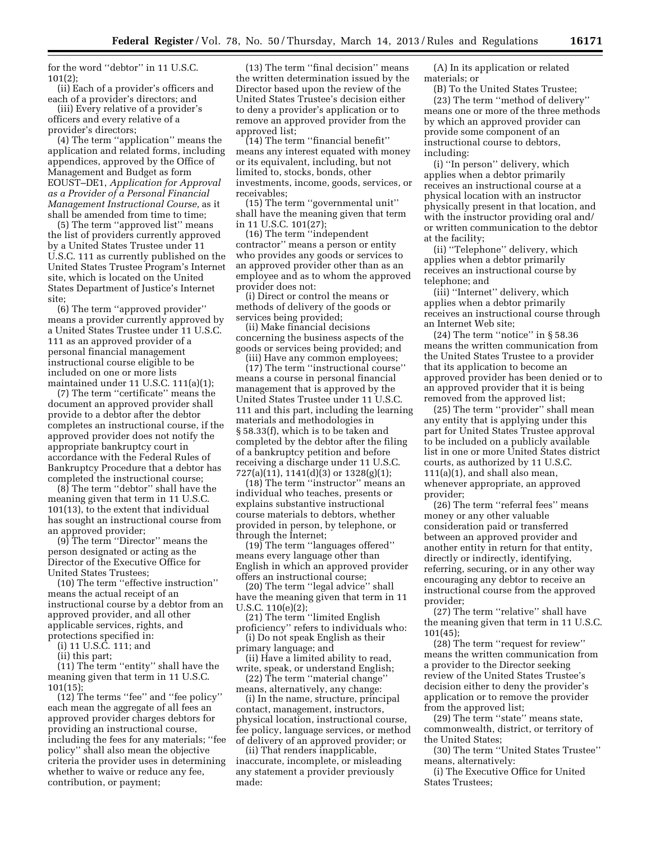for the word ''debtor'' in 11 U.S.C. 101(2);

(ii) Each of a provider's officers and each of a provider's directors; and

(iii) Every relative of a provider's officers and every relative of a provider's directors;

(4) The term ''application'' means the application and related forms, including appendices, approved by the Office of Management and Budget as form EOUST–DE1, *Application for Approval as a Provider of a Personal Financial Management Instructional Course,* as it shall be amended from time to time;

(5) The term ''approved list'' means the list of providers currently approved by a United States Trustee under 11 U.S.C. 111 as currently published on the United States Trustee Program's Internet site, which is located on the United States Department of Justice's Internet site;

(6) The term ''approved provider'' means a provider currently approved by a United States Trustee under 11 U.S.C. 111 as an approved provider of a personal financial management instructional course eligible to be included on one or more lists maintained under 11 U.S.C. 111(a)(1);

(7) The term ''certificate'' means the document an approved provider shall provide to a debtor after the debtor completes an instructional course, if the approved provider does not notify the appropriate bankruptcy court in accordance with the Federal Rules of Bankruptcy Procedure that a debtor has completed the instructional course;

(8) The term ''debtor'' shall have the meaning given that term in 11 U.S.C. 101(13), to the extent that individual has sought an instructional course from an approved provider;

(9) The term ''Director'' means the person designated or acting as the Director of the Executive Office for United States Trustees;

(10) The term ''effective instruction'' means the actual receipt of an instructional course by a debtor from an approved provider, and all other applicable services, rights, and protections specified in:

(i) 11 U.S.C. 111; and

(ii) this part;

(11) The term ''entity'' shall have the meaning given that term in 11 U.S.C. 101(15);

(12) The terms ''fee'' and ''fee policy'' each mean the aggregate of all fees an approved provider charges debtors for providing an instructional course, including the fees for any materials; ''fee policy'' shall also mean the objective criteria the provider uses in determining whether to waive or reduce any fee, contribution, or payment;

(13) The term ''final decision'' means the written determination issued by the Director based upon the review of the United States Trustee's decision either to deny a provider's application or to remove an approved provider from the approved list;

(14) The term ''financial benefit'' means any interest equated with money or its equivalent, including, but not limited to, stocks, bonds, other investments, income, goods, services, or receivables;

(15) The term ''governmental unit'' shall have the meaning given that term in 11 U.S.C. 101(27);

(16) The term ''independent contractor'' means a person or entity who provides any goods or services to an approved provider other than as an employee and as to whom the approved provider does not:

(i) Direct or control the means or methods of delivery of the goods or services being provided;

(ii) Make financial decisions concerning the business aspects of the goods or services being provided; and (iii) Have any common employees;

(17) The term ''instructional course'' means a course in personal financial management that is approved by the United States Trustee under 11 U.S.C. 111 and this part, including the learning materials and methodologies in § 58.33(f), which is to be taken and completed by the debtor after the filing of a bankruptcy petition and before receiving a discharge under 11 U.S.C. 727(a)(11), 1141(d)(3) or 1328(g)(1);

(18) The term ''instructor'' means an individual who teaches, presents or explains substantive instructional course materials to debtors, whether provided in person, by telephone, or through the Internet;

(19) The term ''languages offered'' means every language other than English in which an approved provider offers an instructional course;

(20) The term ''legal advice'' shall have the meaning given that term in 11 U.S.C. 110(e)(2);

(21) The term ''limited English proficiency'' refers to individuals who:

(i) Do not speak English as their primary language; and

(ii) Have a limited ability to read, write, speak, or understand English; (22) The term ''material change''

means, alternatively, any change:

(i) In the name, structure, principal contact, management, instructors, physical location, instructional course, fee policy, language services, or method of delivery of an approved provider; or

(ii) That renders inapplicable, inaccurate, incomplete, or misleading any statement a provider previously made:

(A) In its application or related materials; or

(B) To the United States Trustee; (23) The term ''method of delivery'' means one or more of the three methods by which an approved provider can provide some component of an instructional course to debtors, including:

(i) ''In person'' delivery, which applies when a debtor primarily receives an instructional course at a physical location with an instructor physically present in that location, and with the instructor providing oral and/ or written communication to the debtor at the facility;

(ii) ''Telephone'' delivery, which applies when a debtor primarily receives an instructional course by telephone; and

(iii) ''Internet'' delivery, which applies when a debtor primarily receives an instructional course through an Internet Web site;

(24) The term ''notice'' in § 58.36 means the written communication from the United States Trustee to a provider that its application to become an approved provider has been denied or to an approved provider that it is being removed from the approved list;

(25) The term ''provider'' shall mean any entity that is applying under this part for United States Trustee approval to be included on a publicly available list in one or more United States district courts, as authorized by 11 U.S.C. 111(a)(1), and shall also mean, whenever appropriate, an approved provider;

(26) The term ''referral fees'' means money or any other valuable consideration paid or transferred between an approved provider and another entity in return for that entity, directly or indirectly, identifying, referring, securing, or in any other way encouraging any debtor to receive an instructional course from the approved provider;

(27) The term ''relative'' shall have the meaning given that term in 11 U.S.C. 101(45);

(28) The term ''request for review'' means the written communication from a provider to the Director seeking review of the United States Trustee's decision either to deny the provider's application or to remove the provider from the approved list;

(29) The term ''state'' means state, commonwealth, district, or territory of the United States;

(30) The term ''United States Trustee'' means, alternatively:

(i) The Executive Office for United States Trustees;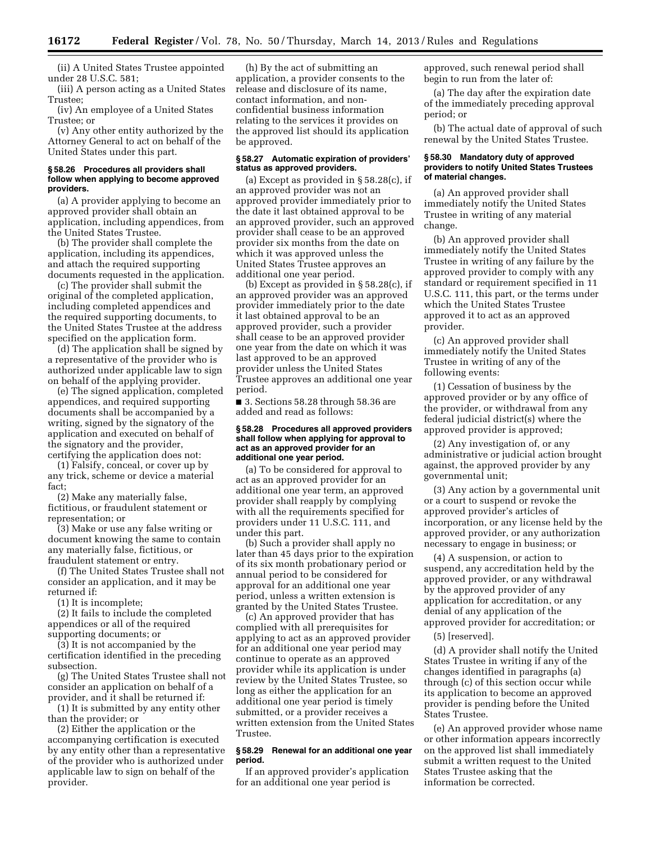(ii) A United States Trustee appointed under 28 U.S.C. 581;

(iii) A person acting as a United States Trustee;

(iv) An employee of a United States Trustee; or

(v) Any other entity authorized by the Attorney General to act on behalf of the United States under this part.

## **§ 58.26 Procedures all providers shall follow when applying to become approved providers.**

(a) A provider applying to become an approved provider shall obtain an application, including appendices, from the United States Trustee.

(b) The provider shall complete the application, including its appendices, and attach the required supporting documents requested in the application.

(c) The provider shall submit the original of the completed application, including completed appendices and the required supporting documents, to the United States Trustee at the address specified on the application form.

(d) The application shall be signed by a representative of the provider who is authorized under applicable law to sign on behalf of the applying provider.

(e) The signed application, completed appendices, and required supporting documents shall be accompanied by a writing, signed by the signatory of the application and executed on behalf of the signatory and the provider, certifying the application does not:

(1) Falsify, conceal, or cover up by any trick, scheme or device a material fact;

(2) Make any materially false, fictitious, or fraudulent statement or representation; or

(3) Make or use any false writing or document knowing the same to contain any materially false, fictitious, or fraudulent statement or entry.

(f) The United States Trustee shall not consider an application, and it may be returned if:

(1) It is incomplete;

(2) It fails to include the completed appendices or all of the required supporting documents; or

(3) It is not accompanied by the certification identified in the preceding subsection.

(g) The United States Trustee shall not consider an application on behalf of a provider, and it shall be returned if:

(1) It is submitted by any entity other than the provider; or

(2) Either the application or the accompanying certification is executed by any entity other than a representative of the provider who is authorized under applicable law to sign on behalf of the provider.

(h) By the act of submitting an application, a provider consents to the release and disclosure of its name, contact information, and nonconfidential business information relating to the services it provides on the approved list should its application be approved.

### **§ 58.27 Automatic expiration of providers' status as approved providers.**

(a) Except as provided in § 58.28(c), if an approved provider was not an approved provider immediately prior to the date it last obtained approval to be an approved provider, such an approved provider shall cease to be an approved provider six months from the date on which it was approved unless the United States Trustee approves an additional one year period.

(b) Except as provided in § 58.28(c), if an approved provider was an approved provider immediately prior to the date it last obtained approval to be an approved provider, such a provider shall cease to be an approved provider one year from the date on which it was last approved to be an approved provider unless the United States Trustee approves an additional one year period.

■ 3. Sections 58.28 through 58.36 are added and read as follows:

## **§ 58.28 Procedures all approved providers shall follow when applying for approval to act as an approved provider for an additional one year period.**

(a) To be considered for approval to act as an approved provider for an additional one year term, an approved provider shall reapply by complying with all the requirements specified for providers under 11 U.S.C. 111, and under this part.

(b) Such a provider shall apply no later than 45 days prior to the expiration of its six month probationary period or annual period to be considered for approval for an additional one year period, unless a written extension is granted by the United States Trustee.

(c) An approved provider that has complied with all prerequisites for applying to act as an approved provider for an additional one year period may continue to operate as an approved provider while its application is under review by the United States Trustee, so long as either the application for an additional one year period is timely submitted, or a provider receives a written extension from the United States Trustee.

## **§ 58.29 Renewal for an additional one year period.**

If an approved provider's application for an additional one year period is

approved, such renewal period shall begin to run from the later of:

(a) The day after the expiration date of the immediately preceding approval period; or

(b) The actual date of approval of such renewal by the United States Trustee.

## **§ 58.30 Mandatory duty of approved providers to notify United States Trustees of material changes.**

(a) An approved provider shall immediately notify the United States Trustee in writing of any material change.

(b) An approved provider shall immediately notify the United States Trustee in writing of any failure by the approved provider to comply with any standard or requirement specified in 11 U.S.C. 111, this part, or the terms under which the United States Trustee approved it to act as an approved provider.

(c) An approved provider shall immediately notify the United States Trustee in writing of any of the following events:

(1) Cessation of business by the approved provider or by any office of the provider, or withdrawal from any federal judicial district(s) where the approved provider is approved;

(2) Any investigation of, or any administrative or judicial action brought against, the approved provider by any governmental unit;

(3) Any action by a governmental unit or a court to suspend or revoke the approved provider's articles of incorporation, or any license held by the approved provider, or any authorization necessary to engage in business; or

(4) A suspension, or action to suspend, any accreditation held by the approved provider, or any withdrawal by the approved provider of any application for accreditation, or any denial of any application of the approved provider for accreditation; or

(5) [reserved].

(d) A provider shall notify the United States Trustee in writing if any of the changes identified in paragraphs (a) through (c) of this section occur while its application to become an approved provider is pending before the United States Trustee.

(e) An approved provider whose name or other information appears incorrectly on the approved list shall immediately submit a written request to the United States Trustee asking that the information be corrected.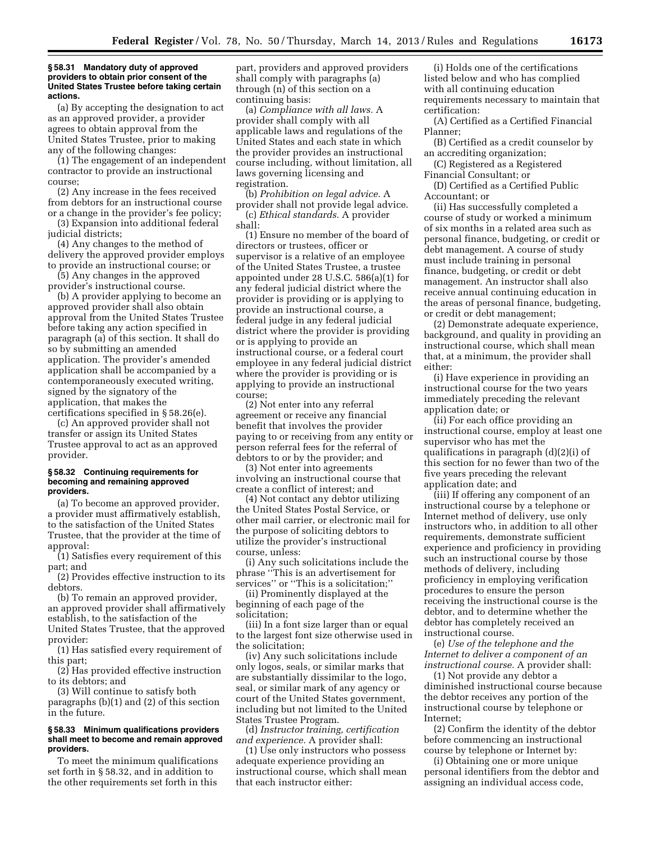## **§ 58.31 Mandatory duty of approved providers to obtain prior consent of the United States Trustee before taking certain actions.**

(a) By accepting the designation to act as an approved provider, a provider agrees to obtain approval from the United States Trustee, prior to making any of the following changes:

(1) The engagement of an independent contractor to provide an instructional course;

(2) Any increase in the fees received from debtors for an instructional course or a change in the provider's fee policy;

(3) Expansion into additional federal judicial districts;

(4) Any changes to the method of delivery the approved provider employs to provide an instructional course; or

(5) Any changes in the approved provider's instructional course.

(b) A provider applying to become an approved provider shall also obtain approval from the United States Trustee before taking any action specified in paragraph (a) of this section. It shall do so by submitting an amended application. The provider's amended application shall be accompanied by a contemporaneously executed writing, signed by the signatory of the application, that makes the certifications specified in § 58.26(e).

(c) An approved provider shall not transfer or assign its United States Trustee approval to act as an approved provider.

### **§ 58.32 Continuing requirements for becoming and remaining approved providers.**

(a) To become an approved provider, a provider must affirmatively establish, to the satisfaction of the United States Trustee, that the provider at the time of approval:

(1) Satisfies every requirement of this part; and

(2) Provides effective instruction to its debtors.

(b) To remain an approved provider, an approved provider shall affirmatively establish, to the satisfaction of the United States Trustee, that the approved provider:

(1) Has satisfied every requirement of this part;

 $(2)$  Has provided effective instruction to its debtors; and

(3) Will continue to satisfy both

paragraphs (b)(1) and (2) of this section in the future.

## **§ 58.33 Minimum qualifications providers shall meet to become and remain approved providers.**

To meet the minimum qualifications set forth in § 58.32, and in addition to the other requirements set forth in this

part, providers and approved providers shall comply with paragraphs (a) through (n) of this section on a continuing basis:

(a) *Compliance with all laws.* A provider shall comply with all applicable laws and regulations of the United States and each state in which the provider provides an instructional course including, without limitation, all laws governing licensing and registration.

(b) *Prohibition on legal advice.* A provider shall not provide legal advice. (c) *Ethical standards.* A provider shall:

(1) Ensure no member of the board of directors or trustees, officer or supervisor is a relative of an employee of the United States Trustee, a trustee appointed under 28 U.S.C. 586(a)(1) for any federal judicial district where the provider is providing or is applying to provide an instructional course, a federal judge in any federal judicial district where the provider is providing or is applying to provide an instructional course, or a federal court employee in any federal judicial district where the provider is providing or is applying to provide an instructional course;

(2) Not enter into any referral agreement or receive any financial benefit that involves the provider paying to or receiving from any entity or person referral fees for the referral of debtors to or by the provider; and

(3) Not enter into agreements involving an instructional course that create a conflict of interest; and

(4) Not contact any debtor utilizing the United States Postal Service, or other mail carrier, or electronic mail for the purpose of soliciting debtors to utilize the provider's instructional course, unless:

(i) Any such solicitations include the phrase ''This is an advertisement for services" or "This is a solicitation;"

(ii) Prominently displayed at the beginning of each page of the solicitation;

(iii) In a font size larger than or equal to the largest font size otherwise used in the solicitation;

(iv) Any such solicitations include only logos, seals, or similar marks that are substantially dissimilar to the logo, seal, or similar mark of any agency or court of the United States government, including but not limited to the United States Trustee Program.

(d) *Instructor training, certification and experience.* A provider shall:

(1) Use only instructors who possess adequate experience providing an instructional course, which shall mean that each instructor either:

(i) Holds one of the certifications listed below and who has complied with all continuing education requirements necessary to maintain that certification:

(A) Certified as a Certified Financial Planner;

(B) Certified as a credit counselor by an accrediting organization;

(C) Registered as a Registered Financial Consultant; or

(D) Certified as a Certified Public Accountant; or

(ii) Has successfully completed a course of study or worked a minimum of six months in a related area such as personal finance, budgeting, or credit or debt management. A course of study must include training in personal finance, budgeting, or credit or debt management. An instructor shall also receive annual continuing education in the areas of personal finance, budgeting, or credit or debt management;

(2) Demonstrate adequate experience, background, and quality in providing an instructional course, which shall mean that, at a minimum, the provider shall either:

(i) Have experience in providing an instructional course for the two years immediately preceding the relevant application date; or

(ii) For each office providing an instructional course, employ at least one supervisor who has met the qualifications in paragraph (d)(2)(i) of this section for no fewer than two of the five years preceding the relevant application date; and

(iii) If offering any component of an instructional course by a telephone or Internet method of delivery, use only instructors who, in addition to all other requirements, demonstrate sufficient experience and proficiency in providing such an instructional course by those methods of delivery, including proficiency in employing verification procedures to ensure the person receiving the instructional course is the debtor, and to determine whether the debtor has completely received an instructional course.

(e) *Use of the telephone and the Internet to deliver a component of an instructional course.* A provider shall:

(1) Not provide any debtor a diminished instructional course because the debtor receives any portion of the instructional course by telephone or Internet;

(2) Confirm the identity of the debtor before commencing an instructional course by telephone or Internet by:

(i) Obtaining one or more unique personal identifiers from the debtor and assigning an individual access code,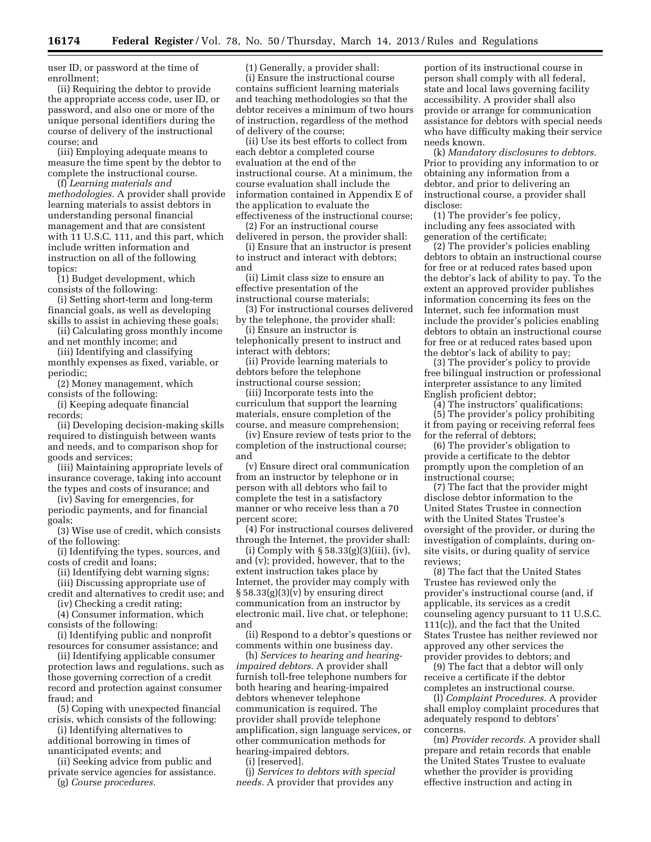user ID, or password at the time of enrollment;

(ii) Requiring the debtor to provide the appropriate access code, user ID, or password, and also one or more of the unique personal identifiers during the course of delivery of the instructional course; and

(iii) Employing adequate means to measure the time spent by the debtor to complete the instructional course.

(f) *Learning materials and methodologies.* A provider shall provide learning materials to assist debtors in understanding personal financial management and that are consistent with 11 U.S.C. 111, and this part, which include written information and instruction on all of the following topics:

(1) Budget development, which consists of the following:

(i) Setting short-term and long-term financial goals, as well as developing skills to assist in achieving these goals;

(ii) Calculating gross monthly income and net monthly income; and

(iii) Identifying and classifying monthly expenses as fixed, variable, or periodic;

(2) Money management, which consists of the following:

(i) Keeping adequate financial records;

(ii) Developing decision-making skills required to distinguish between wants and needs, and to comparison shop for goods and services;

(iii) Maintaining appropriate levels of insurance coverage, taking into account the types and costs of insurance; and

(iv) Saving for emergencies, for periodic payments, and for financial goals;

(3) Wise use of credit, which consists of the following:

(i) Identifying the types, sources, and costs of credit and loans;

(ii) Identifying debt warning signs;

(iii) Discussing appropriate use of

credit and alternatives to credit use; and (iv) Checking a credit rating;

(4) Consumer information, which consists of the following:

(i) Identifying public and nonprofit resources for consumer assistance; and

(ii) Identifying applicable consumer protection laws and regulations, such as those governing correction of a credit record and protection against consumer fraud; and

(5) Coping with unexpected financial crisis, which consists of the following:

(i) Identifying alternatives to additional borrowing in times of

unanticipated events; and (ii) Seeking advice from public and

private service agencies for assistance. (g) *Course procedures.* 

(1) Generally, a provider shall:

(i) Ensure the instructional course contains sufficient learning materials and teaching methodologies so that the debtor receives a minimum of two hours of instruction, regardless of the method of delivery of the course;

(ii) Use its best efforts to collect from each debtor a completed course evaluation at the end of the instructional course. At a minimum, the course evaluation shall include the information contained in Appendix E of the application to evaluate the effectiveness of the instructional course;

(2) For an instructional course

delivered in person, the provider shall: (i) Ensure that an instructor is present to instruct and interact with debtors; and

(ii) Limit class size to ensure an effective presentation of the instructional course materials;

(3) For instructional courses delivered by the telephone, the provider shall:

(i) Ensure an instructor is telephonically present to instruct and interact with debtors;

(ii) Provide learning materials to debtors before the telephone instructional course session;

(iii) Incorporate tests into the curriculum that support the learning materials, ensure completion of the course, and measure comprehension;

(iv) Ensure review of tests prior to the completion of the instructional course; and

(v) Ensure direct oral communication from an instructor by telephone or in person with all debtors who fail to complete the test in a satisfactory manner or who receive less than a 70 percent score;

(4) For instructional courses delivered through the Internet, the provider shall:

(i) Comply with  $\S 58.33(g)(3)(iii)$ , (iv), and (v); provided, however, that to the extent instruction takes place by Internet, the provider may comply with § 58.33(g)(3)(v) by ensuring direct communication from an instructor by electronic mail, live chat, or telephone; and

(ii) Respond to a debtor's questions or comments within one business day.

(h) *Services to hearing and hearingimpaired debtors.* A provider shall furnish toll-free telephone numbers for both hearing and hearing-impaired debtors whenever telephone communication is required. The provider shall provide telephone amplification, sign language services, or other communication methods for hearing-impaired debtors.

(i) [reserved].

(j) *Services to debtors with special needs.* A provider that provides any

portion of its instructional course in person shall comply with all federal, state and local laws governing facility accessibility. A provider shall also provide or arrange for communication assistance for debtors with special needs who have difficulty making their service needs known.

(k) *Mandatory disclosures to debtors.*  Prior to providing any information to or obtaining any information from a debtor, and prior to delivering an instructional course, a provider shall disclose:

(1) The provider's fee policy, including any fees associated with generation of the certificate;

(2) The provider's policies enabling debtors to obtain an instructional course for free or at reduced rates based upon the debtor's lack of ability to pay. To the extent an approved provider publishes information concerning its fees on the Internet, such fee information must include the provider's policies enabling debtors to obtain an instructional course for free or at reduced rates based upon the debtor's lack of ability to pay;

(3) The provider's policy to provide free bilingual instruction or professional interpreter assistance to any limited English proficient debtor;

(4) The instructors' qualifications;

(5) The provider's policy prohibiting it from paying or receiving referral fees for the referral of debtors;

(6) The provider's obligation to provide a certificate to the debtor promptly upon the completion of an instructional course;

(7) The fact that the provider might disclose debtor information to the United States Trustee in connection with the United States Trustee's oversight of the provider, or during the investigation of complaints, during onsite visits, or during quality of service reviews;

(8) The fact that the United States Trustee has reviewed only the provider's instructional course (and, if applicable, its services as a credit counseling agency pursuant to 11 U.S.C. 111(c)), and the fact that the United States Trustee has neither reviewed nor approved any other services the provider provides to debtors; and

(9) The fact that a debtor will only receive a certificate if the debtor completes an instructional course.

(l) *Complaint Procedures.* A provider shall employ complaint procedures that adequately respond to debtors' concerns.

(m) *Provider records.* A provider shall prepare and retain records that enable the United States Trustee to evaluate whether the provider is providing effective instruction and acting in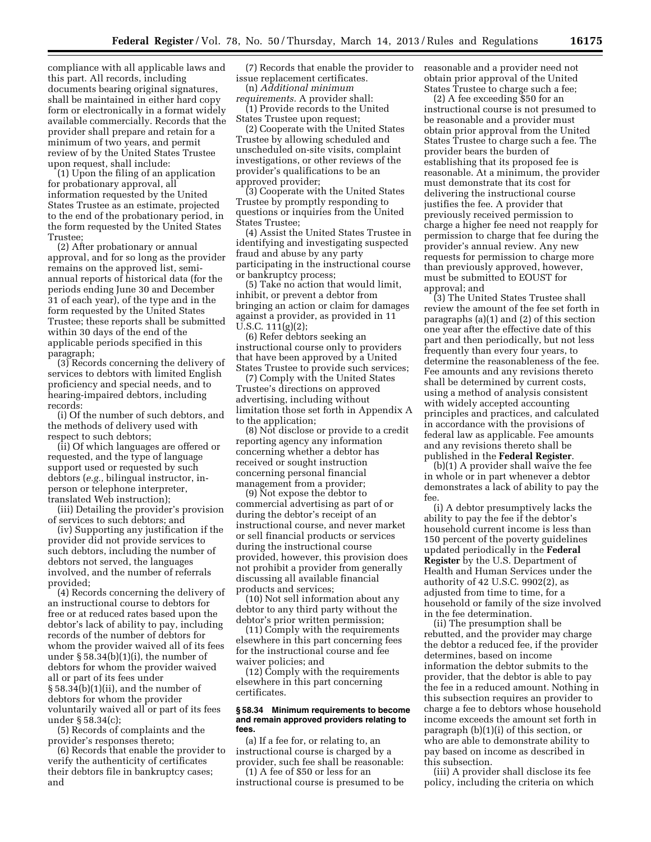compliance with all applicable laws and this part. All records, including documents bearing original signatures, shall be maintained in either hard copy form or electronically in a format widely available commercially. Records that the provider shall prepare and retain for a minimum of two years, and permit review of by the United States Trustee upon request, shall include:

(1) Upon the filing of an application for probationary approval, all information requested by the United States Trustee as an estimate, projected to the end of the probationary period, in the form requested by the United States Trustee;

(2) After probationary or annual approval, and for so long as the provider remains on the approved list, semiannual reports of historical data (for the periods ending June 30 and December 31 of each year), of the type and in the form requested by the United States Trustee; these reports shall be submitted within 30 days of the end of the applicable periods specified in this paragraph;

(3) Records concerning the delivery of services to debtors with limited English proficiency and special needs, and to hearing-impaired debtors, including records:

(i) Of the number of such debtors, and the methods of delivery used with respect to such debtors;

(ii) Of which languages are offered or requested, and the type of language support used or requested by such debtors (*e.g.,* bilingual instructor, inperson or telephone interpreter, translated Web instruction);

(iii) Detailing the provider's provision of services to such debtors; and

(iv) Supporting any justification if the provider did not provide services to such debtors, including the number of debtors not served, the languages involved, and the number of referrals provided;

(4) Records concerning the delivery of an instructional course to debtors for free or at reduced rates based upon the debtor's lack of ability to pay, including records of the number of debtors for whom the provider waived all of its fees under § 58.34(b)(1)(i), the number of debtors for whom the provider waived all or part of its fees under § 58.34(b)(1)(ii), and the number of debtors for whom the provider voluntarily waived all or part of its fees under § 58.34(c);

(5) Records of complaints and the provider's responses thereto;

(6) Records that enable the provider to verify the authenticity of certificates their debtors file in bankruptcy cases; and

(7) Records that enable the provider to issue replacement certificates.

(n) *Additional minimum* 

*requirements.* A provider shall: (1) Provide records to the United States Trustee upon request;

(2) Cooperate with the United States Trustee by allowing scheduled and unscheduled on-site visits, complaint investigations, or other reviews of the provider's qualifications to be an approved provider;

(3) Cooperate with the United States Trustee by promptly responding to questions or inquiries from the United States Trustee;

(4) Assist the United States Trustee in identifying and investigating suspected fraud and abuse by any party participating in the instructional course or bankruptcy process;

(5) Take no action that would limit, inhibit, or prevent a debtor from bringing an action or claim for damages against a provider, as provided in 11 U.S.C. 111(g)(2);

(6) Refer debtors seeking an instructional course only to providers that have been approved by a United States Trustee to provide such services;

(7) Comply with the United States Trustee's directions on approved advertising, including without limitation those set forth in Appendix A to the application;

(8) Not disclose or provide to a credit reporting agency any information concerning whether a debtor has received or sought instruction concerning personal financial management from a provider;

(9) Not expose the debtor to commercial advertising as part of or during the debtor's receipt of an instructional course, and never market or sell financial products or services during the instructional course provided, however, this provision does not prohibit a provider from generally discussing all available financial products and services;

(10) Not sell information about any debtor to any third party without the debtor's prior written permission;

(11) Comply with the requirements elsewhere in this part concerning fees for the instructional course and fee waiver policies; and

(12) Comply with the requirements elsewhere in this part concerning certificates.

## **§ 58.34 Minimum requirements to become and remain approved providers relating to fees.**

(a) If a fee for, or relating to, an instructional course is charged by a provider, such fee shall be reasonable: (1) A fee of \$50 or less for an

instructional course is presumed to be

reasonable and a provider need not obtain prior approval of the United States Trustee to charge such a fee;

(2) A fee exceeding \$50 for an instructional course is not presumed to be reasonable and a provider must obtain prior approval from the United States Trustee to charge such a fee. The provider bears the burden of establishing that its proposed fee is reasonable. At a minimum, the provider must demonstrate that its cost for delivering the instructional course justifies the fee. A provider that previously received permission to charge a higher fee need not reapply for permission to charge that fee during the provider's annual review. Any new requests for permission to charge more than previously approved, however, must be submitted to EOUST for approval; and

(3) The United States Trustee shall review the amount of the fee set forth in paragraphs (a)(1) and (2) of this section one year after the effective date of this part and then periodically, but not less frequently than every four years, to determine the reasonableness of the fee. Fee amounts and any revisions thereto shall be determined by current costs, using a method of analysis consistent with widely accepted accounting principles and practices, and calculated in accordance with the provisions of federal law as applicable. Fee amounts and any revisions thereto shall be published in the **Federal Register**.

(b)(1) A provider shall waive the fee in whole or in part whenever a debtor demonstrates a lack of ability to pay the fee.

(i) A debtor presumptively lacks the ability to pay the fee if the debtor's household current income is less than 150 percent of the poverty guidelines updated periodically in the **Federal Register** by the U.S. Department of Health and Human Services under the authority of 42 U.S.C. 9902(2), as adjusted from time to time, for a household or family of the size involved in the fee determination.

(ii) The presumption shall be rebutted, and the provider may charge the debtor a reduced fee, if the provider determines, based on income information the debtor submits to the provider, that the debtor is able to pay the fee in a reduced amount. Nothing in this subsection requires an provider to charge a fee to debtors whose household income exceeds the amount set forth in paragraph (b)(1)(i) of this section, or who are able to demonstrate ability to pay based on income as described in this subsection.

(iii) A provider shall disclose its fee policy, including the criteria on which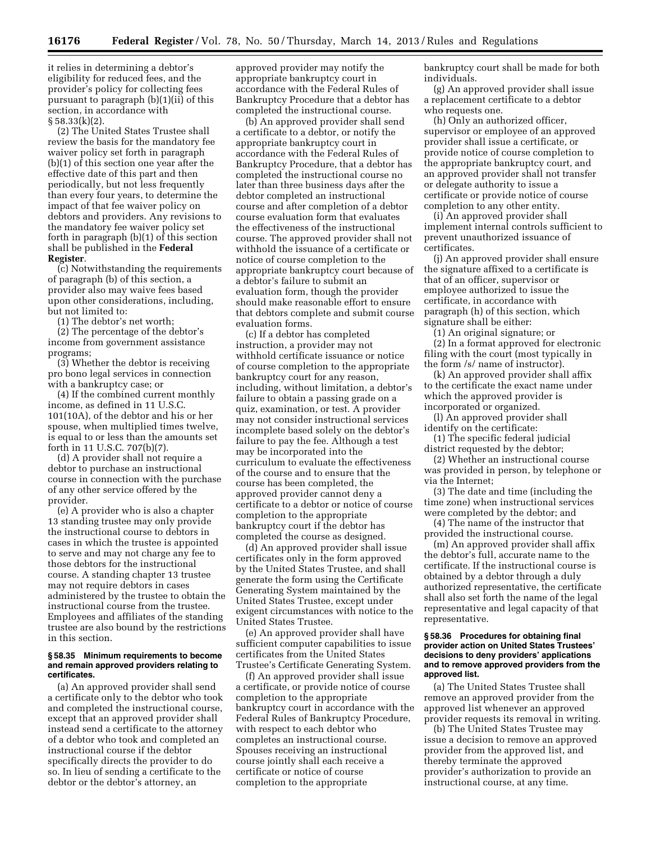it relies in determining a debtor's eligibility for reduced fees, and the provider's policy for collecting fees pursuant to paragraph (b)(1)(ii) of this section, in accordance with § 58.33(k)(2).

(2) The United States Trustee shall review the basis for the mandatory fee waiver policy set forth in paragraph (b)(1) of this section one year after the effective date of this part and then periodically, but not less frequently than every four years, to determine the impact of that fee waiver policy on debtors and providers. Any revisions to the mandatory fee waiver policy set forth in paragraph (b)(1) of this section shall be published in the **Federal Register**.

(c) Notwithstanding the requirements of paragraph (b) of this section, a provider also may waive fees based upon other considerations, including, but not limited to:

(1) The debtor's net worth;

(2) The percentage of the debtor's income from government assistance programs;

(3) Whether the debtor is receiving pro bono legal services in connection with a bankruptcy case; or

(4) If the combined current monthly income, as defined in 11 U.S.C. 101(10A), of the debtor and his or her spouse, when multiplied times twelve, is equal to or less than the amounts set forth in 11 U.S.C. 707(b)(7).

(d) A provider shall not require a debtor to purchase an instructional course in connection with the purchase of any other service offered by the provider.

(e) A provider who is also a chapter 13 standing trustee may only provide the instructional course to debtors in cases in which the trustee is appointed to serve and may not charge any fee to those debtors for the instructional course. A standing chapter 13 trustee may not require debtors in cases administered by the trustee to obtain the instructional course from the trustee. Employees and affiliates of the standing trustee are also bound by the restrictions in this section.

## **§ 58.35 Minimum requirements to become and remain approved providers relating to certificates.**

(a) An approved provider shall send a certificate only to the debtor who took and completed the instructional course, except that an approved provider shall instead send a certificate to the attorney of a debtor who took and completed an instructional course if the debtor specifically directs the provider to do so. In lieu of sending a certificate to the debtor or the debtor's attorney, an

approved provider may notify the appropriate bankruptcy court in accordance with the Federal Rules of Bankruptcy Procedure that a debtor has completed the instructional course.

(b) An approved provider shall send a certificate to a debtor, or notify the appropriate bankruptcy court in accordance with the Federal Rules of Bankruptcy Procedure, that a debtor has completed the instructional course no later than three business days after the debtor completed an instructional course and after completion of a debtor course evaluation form that evaluates the effectiveness of the instructional course. The approved provider shall not withhold the issuance of a certificate or notice of course completion to the appropriate bankruptcy court because of a debtor's failure to submit an evaluation form, though the provider should make reasonable effort to ensure that debtors complete and submit course evaluation forms.

(c) If a debtor has completed instruction, a provider may not withhold certificate issuance or notice of course completion to the appropriate bankruptcy court for any reason, including, without limitation, a debtor's failure to obtain a passing grade on a quiz, examination, or test. A provider may not consider instructional services incomplete based solely on the debtor's failure to pay the fee. Although a test may be incorporated into the curriculum to evaluate the effectiveness of the course and to ensure that the course has been completed, the approved provider cannot deny a certificate to a debtor or notice of course completion to the appropriate bankruptcy court if the debtor has completed the course as designed.

(d) An approved provider shall issue certificates only in the form approved by the United States Trustee, and shall generate the form using the Certificate Generating System maintained by the United States Trustee, except under exigent circumstances with notice to the United States Trustee.

(e) An approved provider shall have sufficient computer capabilities to issue certificates from the United States Trustee's Certificate Generating System.

(f) An approved provider shall issue a certificate, or provide notice of course completion to the appropriate bankruptcy court in accordance with the Federal Rules of Bankruptcy Procedure, with respect to each debtor who completes an instructional course. Spouses receiving an instructional course jointly shall each receive a certificate or notice of course completion to the appropriate

bankruptcy court shall be made for both individuals.

(g) An approved provider shall issue a replacement certificate to a debtor who requests one.

(h) Only an authorized officer, supervisor or employee of an approved provider shall issue a certificate, or provide notice of course completion to the appropriate bankruptcy court, and an approved provider shall not transfer or delegate authority to issue a certificate or provide notice of course completion to any other entity.

(i) An approved provider shall implement internal controls sufficient to prevent unauthorized issuance of certificates.

(j) An approved provider shall ensure the signature affixed to a certificate is that of an officer, supervisor or employee authorized to issue the certificate, in accordance with paragraph (h) of this section, which signature shall be either:

(1) An original signature; or

(2) In a format approved for electronic filing with the court (most typically in the form /s/ name of instructor).

(k) An approved provider shall affix to the certificate the exact name under which the approved provider is incorporated or organized.

(l) An approved provider shall identify on the certificate:

(1) The specific federal judicial district requested by the debtor;

(2) Whether an instructional course was provided in person, by telephone or via the Internet;

(3) The date and time (including the time zone) when instructional services were completed by the debtor; and

(4) The name of the instructor that provided the instructional course.

(m) An approved provider shall affix the debtor's full, accurate name to the certificate. If the instructional course is obtained by a debtor through a duly authorized representative, the certificate shall also set forth the name of the legal representative and legal capacity of that representative.

## **§ 58.36 Procedures for obtaining final provider action on United States Trustees' decisions to deny providers' applications and to remove approved providers from the approved list.**

(a) The United States Trustee shall remove an approved provider from the approved list whenever an approved provider requests its removal in writing.

(b) The United States Trustee may issue a decision to remove an approved provider from the approved list, and thereby terminate the approved provider's authorization to provide an instructional course, at any time.